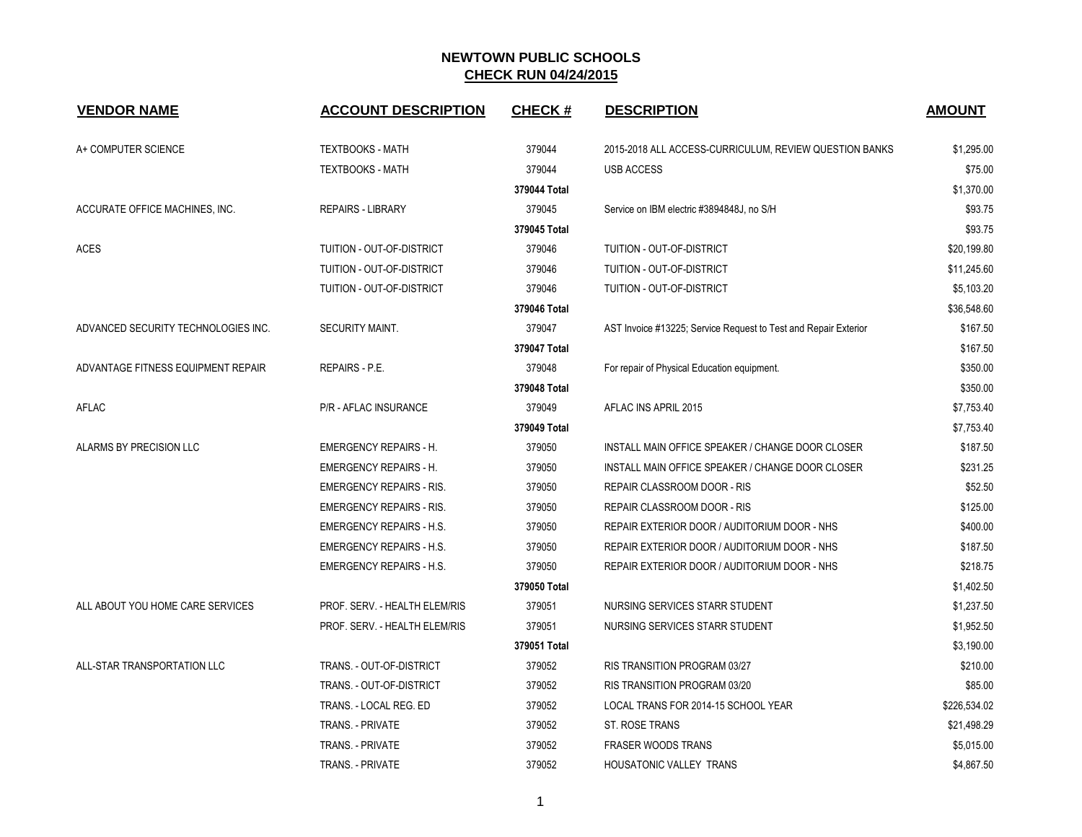| <b>VENDOR NAME</b>                  | <b>ACCOUNT DESCRIPTION</b>      | <b>CHECK#</b> | <b>DESCRIPTION</b>                                              | <b>AMOUNT</b> |
|-------------------------------------|---------------------------------|---------------|-----------------------------------------------------------------|---------------|
| A+ COMPUTER SCIENCE                 | <b>TEXTBOOKS - MATH</b>         | 379044        | 2015-2018 ALL ACCESS-CURRICULUM, REVIEW QUESTION BANKS          | \$1,295.00    |
|                                     | <b>TEXTBOOKS - MATH</b>         | 379044        | <b>USB ACCESS</b>                                               | \$75.00       |
|                                     |                                 | 379044 Total  |                                                                 | \$1,370.00    |
| ACCURATE OFFICE MACHINES, INC.      | <b>REPAIRS - LIBRARY</b>        | 379045        | Service on IBM electric #3894848J, no S/H                       | \$93.75       |
|                                     |                                 | 379045 Total  |                                                                 | \$93.75       |
| <b>ACES</b>                         | TUITION - OUT-OF-DISTRICT       | 379046        | TUITION - OUT-OF-DISTRICT                                       | \$20,199.80   |
|                                     | TUITION - OUT-OF-DISTRICT       | 379046        | TUITION - OUT-OF-DISTRICT                                       | \$11,245.60   |
|                                     | TUITION - OUT-OF-DISTRICT       | 379046        | TUITION - OUT-OF-DISTRICT                                       | \$5,103.20    |
|                                     |                                 | 379046 Total  |                                                                 | \$36,548.60   |
| ADVANCED SECURITY TECHNOLOGIES INC. | <b>SECURITY MAINT.</b>          | 379047        | AST Invoice #13225; Service Request to Test and Repair Exterior | \$167.50      |
|                                     |                                 | 379047 Total  |                                                                 | \$167.50      |
| ADVANTAGE FITNESS EQUIPMENT REPAIR  | <b>REPAIRS - P.E.</b>           | 379048        | For repair of Physical Education equipment.                     | \$350.00      |
|                                     |                                 | 379048 Total  |                                                                 | \$350.00      |
| AFLAC                               | <b>P/R - AFLAC INSURANCE</b>    | 379049        | AFLAC INS APRIL 2015                                            | \$7,753.40    |
|                                     |                                 | 379049 Total  |                                                                 | \$7,753.40    |
| ALARMS BY PRECISION LLC             | <b>EMERGENCY REPAIRS - H.</b>   | 379050        | INSTALL MAIN OFFICE SPEAKER / CHANGE DOOR CLOSER                | \$187.50      |
|                                     | <b>EMERGENCY REPAIRS - H.</b>   | 379050        | INSTALL MAIN OFFICE SPEAKER / CHANGE DOOR CLOSER                | \$231.25      |
|                                     | <b>EMERGENCY REPAIRS - RIS.</b> | 379050        | REPAIR CLASSROOM DOOR - RIS                                     | \$52.50       |
|                                     | <b>EMERGENCY REPAIRS - RIS.</b> | 379050        | REPAIR CLASSROOM DOOR - RIS                                     | \$125.00      |
|                                     | <b>EMERGENCY REPAIRS - H.S.</b> | 379050        | REPAIR EXTERIOR DOOR / AUDITORIUM DOOR - NHS                    | \$400.00      |
|                                     | <b>EMERGENCY REPAIRS - H.S.</b> | 379050        | REPAIR EXTERIOR DOOR / AUDITORIUM DOOR - NHS                    | \$187.50      |
|                                     | <b>EMERGENCY REPAIRS - H.S.</b> | 379050        | REPAIR EXTERIOR DOOR / AUDITORIUM DOOR - NHS                    | \$218.75      |
|                                     |                                 | 379050 Total  |                                                                 | \$1,402.50    |
| ALL ABOUT YOU HOME CARE SERVICES    | PROF. SERV. - HEALTH ELEM/RIS   | 379051        | NURSING SERVICES STARR STUDENT                                  | \$1,237.50    |
|                                     | PROF. SERV. - HEALTH ELEM/RIS   | 379051        | NURSING SERVICES STARR STUDENT                                  | \$1,952.50    |
|                                     |                                 | 379051 Total  |                                                                 | \$3,190.00    |
| ALL-STAR TRANSPORTATION LLC         | TRANS. - OUT-OF-DISTRICT        | 379052        | RIS TRANSITION PROGRAM 03/27                                    | \$210.00      |
|                                     | TRANS. - OUT-OF-DISTRICT        | 379052        | RIS TRANSITION PROGRAM 03/20                                    | \$85.00       |
|                                     | TRANS. - LOCAL REG. ED          | 379052        | LOCAL TRANS FOR 2014-15 SCHOOL YEAR                             | \$226,534.02  |
|                                     | TRANS. - PRIVATE                | 379052        | ST. ROSE TRANS                                                  | \$21,498.29   |
|                                     | <b>TRANS. - PRIVATE</b>         | 379052        | <b>FRASER WOODS TRANS</b>                                       | \$5,015.00    |
|                                     | TRANS. - PRIVATE                | 379052        | HOUSATONIC VALLEY TRANS                                         | \$4,867.50    |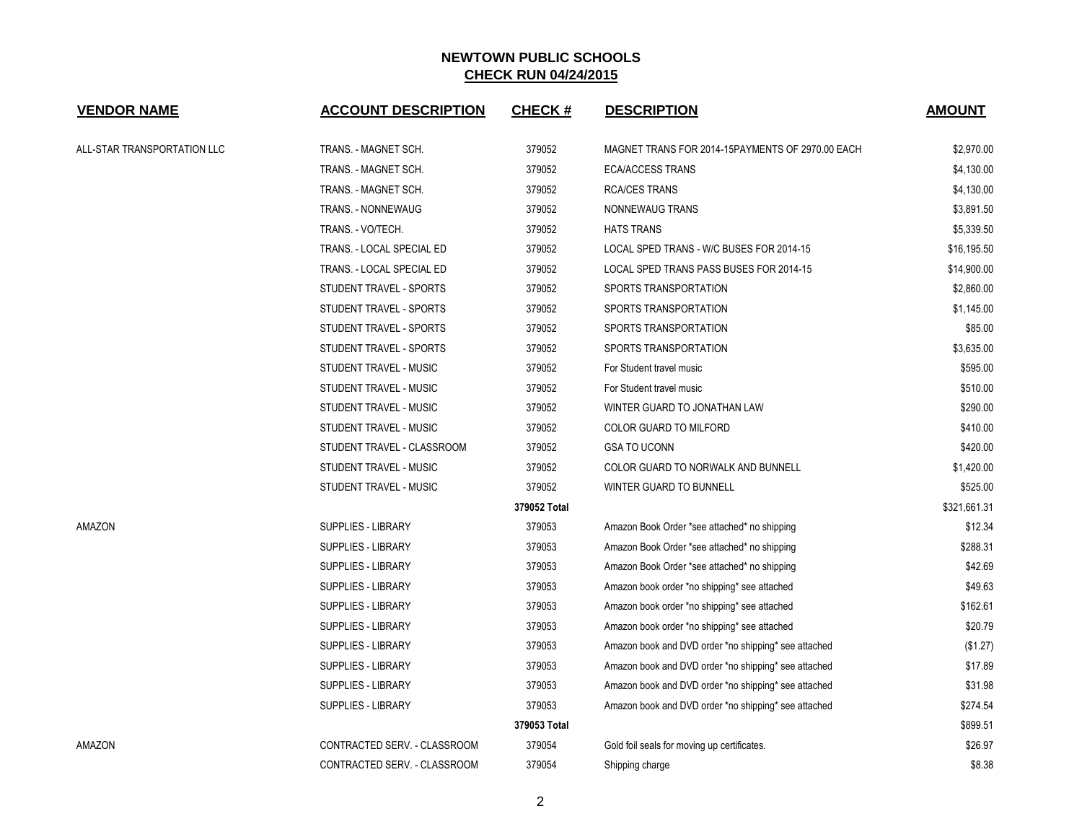| <b>VENDOR NAME</b>          | <b>ACCOUNT DESCRIPTION</b>   | <b>CHECK#</b> | <b>DESCRIPTION</b>                                   | <b>AMOUNT</b> |
|-----------------------------|------------------------------|---------------|------------------------------------------------------|---------------|
| ALL-STAR TRANSPORTATION LLC | TRANS. - MAGNET SCH.         | 379052        | MAGNET TRANS FOR 2014-15PAYMENTS OF 2970.00 EACH     | \$2,970.00    |
|                             | TRANS. - MAGNET SCH.         | 379052        | <b>ECA/ACCESS TRANS</b>                              | \$4,130.00    |
|                             | TRANS. - MAGNET SCH.         | 379052        | <b>RCA/CES TRANS</b>                                 | \$4,130.00    |
|                             | TRANS. - NONNEWAUG           | 379052        | NONNEWAUG TRANS                                      | \$3,891.50    |
|                             | TRANS. - VO/TECH.            | 379052        | <b>HATS TRANS</b>                                    | \$5,339.50    |
|                             | TRANS. - LOCAL SPECIAL ED    | 379052        | LOCAL SPED TRANS - W/C BUSES FOR 2014-15             | \$16,195.50   |
|                             | TRANS. - LOCAL SPECIAL ED    | 379052        | LOCAL SPED TRANS PASS BUSES FOR 2014-15              | \$14,900.00   |
|                             | STUDENT TRAVEL - SPORTS      | 379052        | SPORTS TRANSPORTATION                                | \$2,860.00    |
|                             | STUDENT TRAVEL - SPORTS      | 379052        | SPORTS TRANSPORTATION                                | \$1,145.00    |
|                             | STUDENT TRAVEL - SPORTS      | 379052        | SPORTS TRANSPORTATION                                | \$85.00       |
|                             | STUDENT TRAVEL - SPORTS      | 379052        | SPORTS TRANSPORTATION                                | \$3,635.00    |
|                             | STUDENT TRAVEL - MUSIC       | 379052        | For Student travel music                             | \$595.00      |
|                             | STUDENT TRAVEL - MUSIC       | 379052        | For Student travel music                             | \$510.00      |
|                             | STUDENT TRAVEL - MUSIC       | 379052        | WINTER GUARD TO JONATHAN LAW                         | \$290.00      |
|                             | STUDENT TRAVEL - MUSIC       | 379052        | COLOR GUARD TO MILFORD                               | \$410.00      |
|                             | STUDENT TRAVEL - CLASSROOM   | 379052        | <b>GSA TO UCONN</b>                                  | \$420.00      |
|                             | STUDENT TRAVEL - MUSIC       | 379052        | COLOR GUARD TO NORWALK AND BUNNELL                   | \$1,420.00    |
|                             | STUDENT TRAVEL - MUSIC       | 379052        | WINTER GUARD TO BUNNELL                              | \$525.00      |
|                             |                              | 379052 Total  |                                                      | \$321,661.31  |
| AMAZON                      | SUPPLIES - LIBRARY           | 379053        | Amazon Book Order *see attached* no shipping         | \$12.34       |
|                             | SUPPLIES - LIBRARY           | 379053        | Amazon Book Order *see attached* no shipping         | \$288.31      |
|                             | SUPPLIES - LIBRARY           | 379053        | Amazon Book Order *see attached* no shipping         | \$42.69       |
|                             | SUPPLIES - LIBRARY           | 379053        | Amazon book order *no shipping* see attached         | \$49.63       |
|                             | <b>SUPPLIES - LIBRARY</b>    | 379053        | Amazon book order *no shipping* see attached         | \$162.61      |
|                             | SUPPLIES - LIBRARY           | 379053        | Amazon book order *no shipping* see attached         | \$20.79       |
|                             | SUPPLIES - LIBRARY           | 379053        | Amazon book and DVD order *no shipping* see attached | (\$1.27)      |
|                             | SUPPLIES - LIBRARY           | 379053        | Amazon book and DVD order *no shipping* see attached | \$17.89       |
|                             | SUPPLIES - LIBRARY           | 379053        | Amazon book and DVD order *no shipping* see attached | \$31.98       |
|                             | SUPPLIES - LIBRARY           | 379053        | Amazon book and DVD order *no shipping* see attached | \$274.54      |
|                             |                              | 379053 Total  |                                                      | \$899.51      |
| AMAZON                      | CONTRACTED SERV. - CLASSROOM | 379054        | Gold foil seals for moving up certificates.          | \$26.97       |
|                             | CONTRACTED SERV. - CLASSROOM | 379054        | Shipping charge                                      | \$8.38        |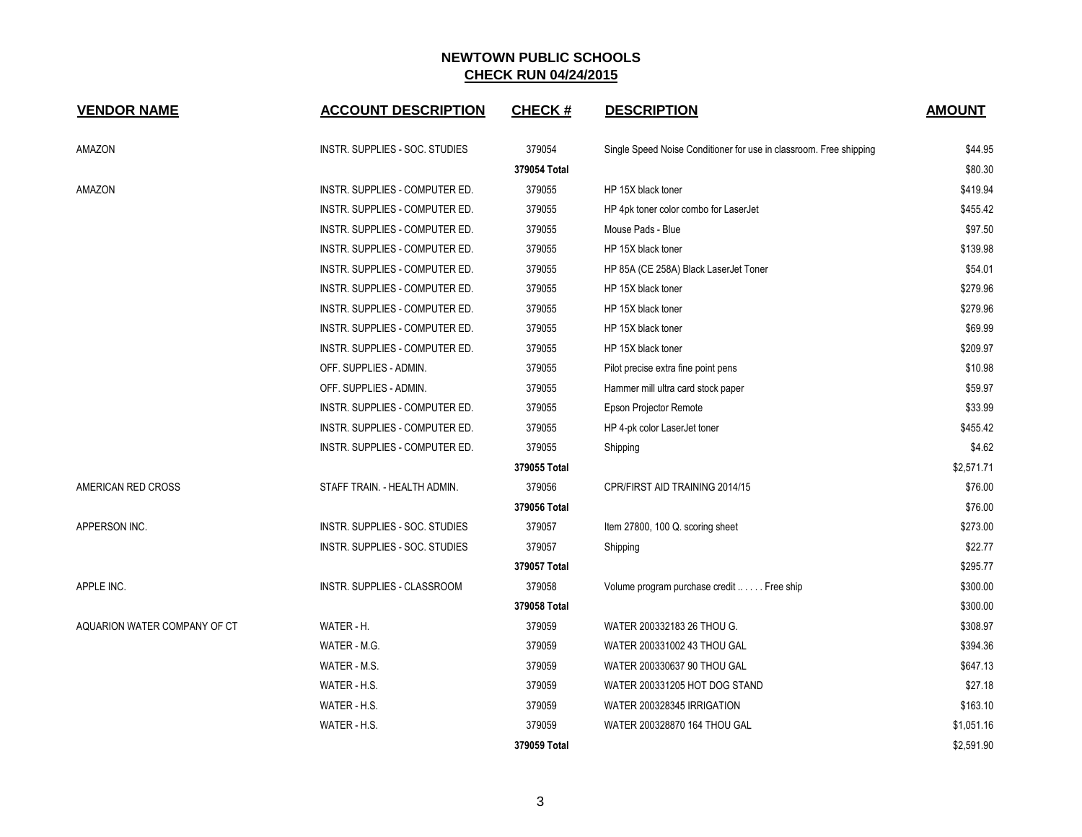| <b>VENDOR NAME</b>           | <b>ACCOUNT DESCRIPTION</b>     | <b>CHECK#</b> | <b>DESCRIPTION</b>                                                 | <b>AMOUNT</b> |
|------------------------------|--------------------------------|---------------|--------------------------------------------------------------------|---------------|
| AMAZON                       | INSTR. SUPPLIES - SOC. STUDIES | 379054        | Single Speed Noise Conditioner for use in classroom. Free shipping | \$44.95       |
|                              |                                | 379054 Total  |                                                                    | \$80.30       |
| AMAZON                       | INSTR. SUPPLIES - COMPUTER ED. | 379055        | HP 15X black toner                                                 | \$419.94      |
|                              | INSTR. SUPPLIES - COMPUTER ED. | 379055        | HP 4pk toner color combo for LaserJet                              | \$455.42      |
|                              | INSTR. SUPPLIES - COMPUTER ED. | 379055        | Mouse Pads - Blue                                                  | \$97.50       |
|                              | INSTR. SUPPLIES - COMPUTER ED. | 379055        | HP 15X black toner                                                 | \$139.98      |
|                              | INSTR. SUPPLIES - COMPUTER ED. | 379055        | HP 85A (CE 258A) Black LaserJet Toner                              | \$54.01       |
|                              | INSTR. SUPPLIES - COMPUTER ED. | 379055        | HP 15X black toner                                                 | \$279.96      |
|                              | INSTR. SUPPLIES - COMPUTER ED. | 379055        | HP 15X black toner                                                 | \$279.96      |
|                              | INSTR. SUPPLIES - COMPUTER ED. | 379055        | HP 15X black toner                                                 | \$69.99       |
|                              | INSTR. SUPPLIES - COMPUTER ED. | 379055        | HP 15X black toner                                                 | \$209.97      |
|                              | OFF. SUPPLIES - ADMIN.         | 379055        | Pilot precise extra fine point pens                                | \$10.98       |
|                              | OFF. SUPPLIES - ADMIN.         | 379055        | Hammer mill ultra card stock paper                                 | \$59.97       |
|                              | INSTR. SUPPLIES - COMPUTER ED. | 379055        | Epson Projector Remote                                             | \$33.99       |
|                              | INSTR. SUPPLIES - COMPUTER ED. | 379055        | HP 4-pk color LaserJet toner                                       | \$455.42      |
|                              | INSTR. SUPPLIES - COMPUTER ED. | 379055        | Shipping                                                           | \$4.62        |
|                              |                                | 379055 Total  |                                                                    | \$2,571.71    |
| AMERICAN RED CROSS           | STAFF TRAIN. - HEALTH ADMIN.   | 379056        | CPR/FIRST AID TRAINING 2014/15                                     | \$76.00       |
|                              |                                | 379056 Total  |                                                                    | \$76.00       |
| APPERSON INC.                | INSTR. SUPPLIES - SOC. STUDIES | 379057        | Item 27800, 100 Q. scoring sheet                                   | \$273.00      |
|                              | INSTR. SUPPLIES - SOC. STUDIES | 379057        | Shipping                                                           | \$22.77       |
|                              |                                | 379057 Total  |                                                                    | \$295.77      |
| APPLE INC.                   | INSTR. SUPPLIES - CLASSROOM    | 379058        | Volume program purchase credit  Free ship                          | \$300.00      |
|                              |                                | 379058 Total  |                                                                    | \$300.00      |
| AQUARION WATER COMPANY OF CT | WATER - H.                     | 379059        | WATER 200332183 26 THOU G.                                         | \$308.97      |
|                              | WATER - M.G.                   | 379059        | WATER 200331002 43 THOU GAL                                        | \$394.36      |
|                              | WATER - M.S.                   | 379059        | WATER 200330637 90 THOU GAL                                        | \$647.13      |
|                              | WATER - H.S.                   | 379059        | WATER 200331205 HOT DOG STAND                                      | \$27.18       |
|                              | WATER - H.S.                   | 379059        | WATER 200328345 IRRIGATION                                         | \$163.10      |
|                              | WATER - H.S.                   | 379059        | WATER 200328870 164 THOU GAL                                       | \$1,051.16    |
|                              |                                | 379059 Total  |                                                                    | \$2,591.90    |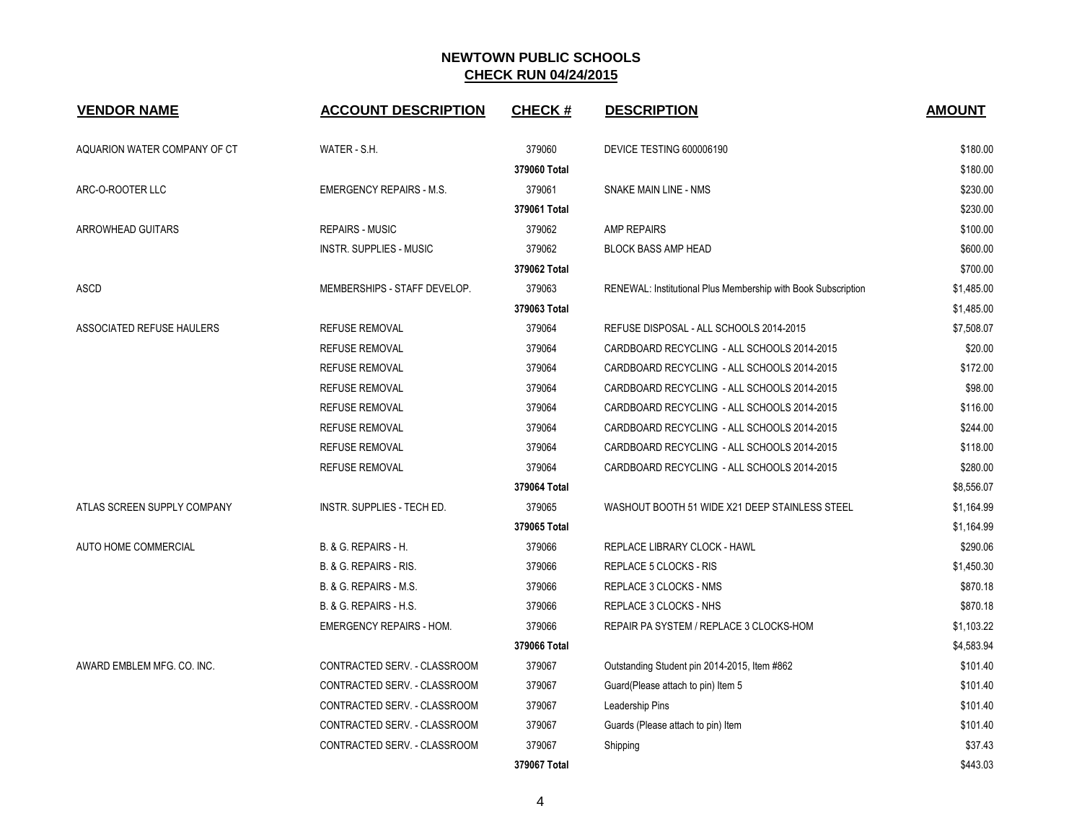| <b>VENDOR NAME</b>           | <b>ACCOUNT DESCRIPTION</b>        | <b>CHECK#</b> | <b>DESCRIPTION</b>                                            | <b>AMOUNT</b> |
|------------------------------|-----------------------------------|---------------|---------------------------------------------------------------|---------------|
| AQUARION WATER COMPANY OF CT | WATER - S.H.                      | 379060        | DEVICE TESTING 600006190                                      | \$180.00      |
|                              |                                   | 379060 Total  |                                                               | \$180.00      |
| ARC-O-ROOTER LLC             | <b>EMERGENCY REPAIRS - M.S.</b>   | 379061        | SNAKE MAIN LINE - NMS                                         | \$230.00      |
|                              |                                   | 379061 Total  |                                                               | \$230.00      |
| ARROWHEAD GUITARS            | <b>REPAIRS - MUSIC</b>            | 379062        | <b>AMP REPAIRS</b>                                            | \$100.00      |
|                              | <b>INSTR. SUPPLIES - MUSIC</b>    | 379062        | <b>BLOCK BASS AMP HEAD</b>                                    | \$600.00      |
|                              |                                   | 379062 Total  |                                                               | \$700.00      |
| ASCD                         | MEMBERSHIPS - STAFF DEVELOP.      | 379063        | RENEWAL: Institutional Plus Membership with Book Subscription | \$1,485.00    |
|                              |                                   | 379063 Total  |                                                               | \$1,485.00    |
| ASSOCIATED REFUSE HAULERS    | <b>REFUSE REMOVAL</b>             | 379064        | REFUSE DISPOSAL - ALL SCHOOLS 2014-2015                       | \$7,508.07    |
|                              | <b>REFUSE REMOVAL</b>             | 379064        | CARDBOARD RECYCLING - ALL SCHOOLS 2014-2015                   | \$20.00       |
|                              | <b>REFUSE REMOVAL</b>             | 379064        | CARDBOARD RECYCLING - ALL SCHOOLS 2014-2015                   | \$172.00      |
|                              | REFUSE REMOVAL                    | 379064        | CARDBOARD RECYCLING - ALL SCHOOLS 2014-2015                   | \$98.00       |
|                              | <b>REFUSE REMOVAL</b>             | 379064        | CARDBOARD RECYCLING - ALL SCHOOLS 2014-2015                   | \$116.00      |
|                              | <b>REFUSE REMOVAL</b>             | 379064        | CARDBOARD RECYCLING - ALL SCHOOLS 2014-2015                   | \$244.00      |
|                              | <b>REFUSE REMOVAL</b>             | 379064        | CARDBOARD RECYCLING - ALL SCHOOLS 2014-2015                   | \$118.00      |
|                              | REFUSE REMOVAL                    | 379064        | CARDBOARD RECYCLING - ALL SCHOOLS 2014-2015                   | \$280.00      |
|                              |                                   | 379064 Total  |                                                               | \$8,556.07    |
| ATLAS SCREEN SUPPLY COMPANY  | INSTR. SUPPLIES - TECH ED.        | 379065        | WASHOUT BOOTH 51 WIDE X21 DEEP STAINLESS STEEL                | \$1,164.99    |
|                              |                                   | 379065 Total  |                                                               | \$1,164.99    |
| AUTO HOME COMMERCIAL         | B. & G. REPAIRS - H.              | 379066        | REPLACE LIBRARY CLOCK - HAWL                                  | \$290.06      |
|                              | B. & G. REPAIRS - RIS.            | 379066        | REPLACE 5 CLOCKS - RIS                                        | \$1,450.30    |
|                              | B. & G. REPAIRS - M.S.            | 379066        | REPLACE 3 CLOCKS - NMS                                        | \$870.18      |
|                              | <b>B. &amp; G. REPAIRS - H.S.</b> | 379066        | REPLACE 3 CLOCKS - NHS                                        | \$870.18      |
|                              | <b>EMERGENCY REPAIRS - HOM.</b>   | 379066        | REPAIR PA SYSTEM / REPLACE 3 CLOCKS-HOM                       | \$1,103.22    |
|                              |                                   | 379066 Total  |                                                               | \$4,583.94    |
| AWARD EMBLEM MFG. CO. INC.   | CONTRACTED SERV. - CLASSROOM      | 379067        | Outstanding Student pin 2014-2015, Item #862                  | \$101.40      |
|                              | CONTRACTED SERV. - CLASSROOM      | 379067        | Guard(Please attach to pin) Item 5                            | \$101.40      |
|                              | CONTRACTED SERV. - CLASSROOM      | 379067        | Leadership Pins                                               | \$101.40      |
|                              | CONTRACTED SERV. - CLASSROOM      | 379067        | Guards (Please attach to pin) Item                            | \$101.40      |
|                              | CONTRACTED SERV. - CLASSROOM      | 379067        | Shipping                                                      | \$37.43       |
|                              |                                   | 379067 Total  |                                                               | \$443.03      |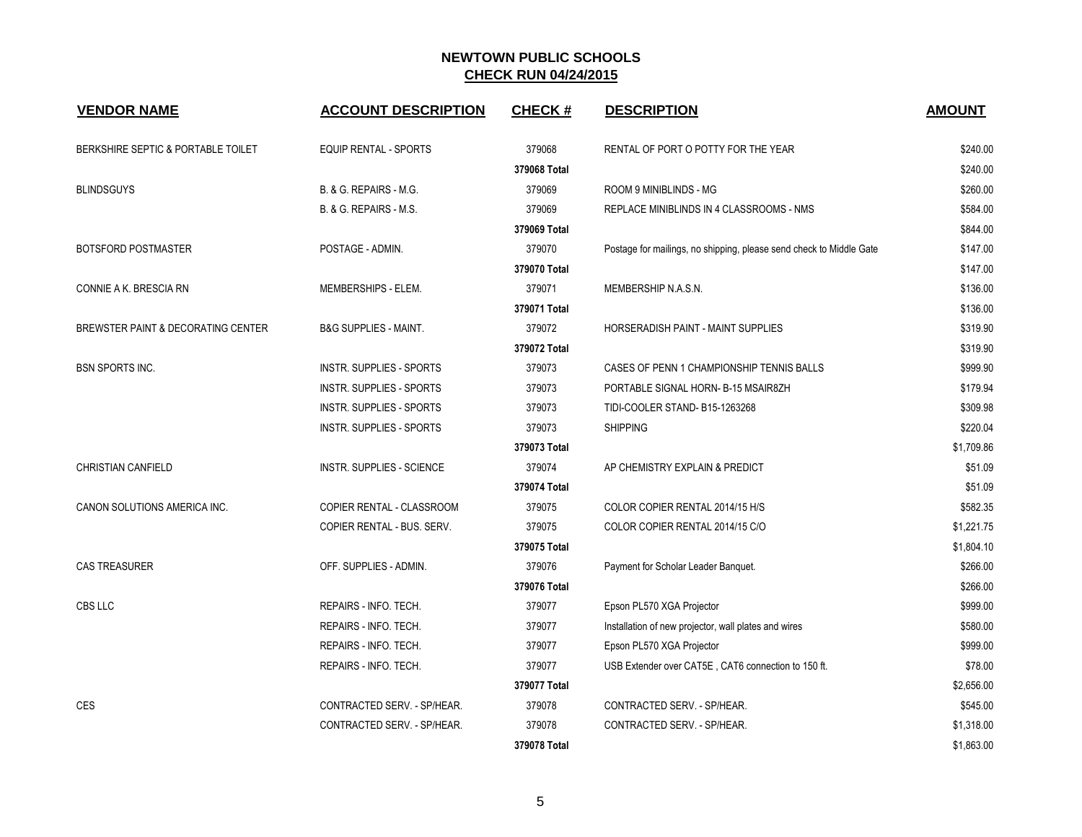| <b>VENDOR NAME</b>                 | <b>ACCOUNT DESCRIPTION</b>       | <b>CHECK#</b> | <b>DESCRIPTION</b>                                                  | <b>AMOUNT</b> |
|------------------------------------|----------------------------------|---------------|---------------------------------------------------------------------|---------------|
| BERKSHIRE SEPTIC & PORTABLE TOILET | <b>EQUIP RENTAL - SPORTS</b>     | 379068        | RENTAL OF PORT O POTTY FOR THE YEAR                                 | \$240.00      |
|                                    |                                  | 379068 Total  |                                                                     | \$240.00      |
| <b>BLINDSGUYS</b>                  | B. & G. REPAIRS - M.G.           | 379069        | ROOM 9 MINIBLINDS - MG                                              | \$260.00      |
|                                    | B. & G. REPAIRS - M.S.           | 379069        | REPLACE MINIBLINDS IN 4 CLASSROOMS - NMS                            | \$584.00      |
|                                    |                                  | 379069 Total  |                                                                     | \$844.00      |
| <b>BOTSFORD POSTMASTER</b>         | POSTAGE - ADMIN.                 | 379070        | Postage for mailings, no shipping, please send check to Middle Gate | \$147.00      |
|                                    |                                  | 379070 Total  |                                                                     | \$147.00      |
| CONNIE A K. BRESCIA RN             | MEMBERSHIPS - ELEM.              | 379071        | MEMBERSHIP N.A.S.N.                                                 | \$136.00      |
|                                    |                                  | 379071 Total  |                                                                     | \$136.00      |
| BREWSTER PAINT & DECORATING CENTER | <b>B&amp;G SUPPLIES - MAINT.</b> | 379072        | HORSERADISH PAINT - MAINT SUPPLIES                                  | \$319.90      |
|                                    |                                  | 379072 Total  |                                                                     | \$319.90      |
| <b>BSN SPORTS INC.</b>             | <b>INSTR. SUPPLIES - SPORTS</b>  | 379073        | CASES OF PENN 1 CHAMPIONSHIP TENNIS BALLS                           | \$999.90      |
|                                    | INSTR. SUPPLIES - SPORTS         | 379073        | PORTABLE SIGNAL HORN- B-15 MSAIR8ZH                                 | \$179.94      |
|                                    | INSTR. SUPPLIES - SPORTS         | 379073        | TIDI-COOLER STAND- B15-1263268                                      | \$309.98      |
|                                    | <b>INSTR. SUPPLIES - SPORTS</b>  | 379073        | <b>SHIPPING</b>                                                     | \$220.04      |
|                                    |                                  | 379073 Total  |                                                                     | \$1,709.86    |
| <b>CHRISTIAN CANFIELD</b>          | <b>INSTR. SUPPLIES - SCIENCE</b> | 379074        | AP CHEMISTRY EXPLAIN & PREDICT                                      | \$51.09       |
|                                    |                                  | 379074 Total  |                                                                     | \$51.09       |
| CANON SOLUTIONS AMERICA INC.       | COPIER RENTAL - CLASSROOM        | 379075        | COLOR COPIER RENTAL 2014/15 H/S                                     | \$582.35      |
|                                    | COPIER RENTAL - BUS. SERV.       | 379075        | COLOR COPIER RENTAL 2014/15 C/O                                     | \$1,221.75    |
|                                    |                                  | 379075 Total  |                                                                     | \$1,804.10    |
| <b>CAS TREASURER</b>               | OFF. SUPPLIES - ADMIN.           | 379076        | Payment for Scholar Leader Banquet.                                 | \$266.00      |
|                                    |                                  | 379076 Total  |                                                                     | \$266.00      |
| CBS LLC                            | REPAIRS - INFO. TECH.            | 379077        | Epson PL570 XGA Projector                                           | \$999.00      |
|                                    | REPAIRS - INFO. TECH.            | 379077        | Installation of new projector, wall plates and wires                | \$580.00      |
|                                    | REPAIRS - INFO. TECH.            | 379077        | Epson PL570 XGA Projector                                           | \$999.00      |
|                                    | REPAIRS - INFO. TECH.            | 379077        | USB Extender over CAT5E, CAT6 connection to 150 ft.                 | \$78.00       |
|                                    |                                  | 379077 Total  |                                                                     | \$2,656.00    |
| <b>CES</b>                         | CONTRACTED SERV. - SP/HEAR.      | 379078        | CONTRACTED SERV. - SP/HEAR.                                         | \$545.00      |
|                                    | CONTRACTED SERV. - SP/HEAR.      | 379078        | CONTRACTED SERV. - SP/HEAR.                                         | \$1,318.00    |
|                                    |                                  | 379078 Total  |                                                                     | \$1,863.00    |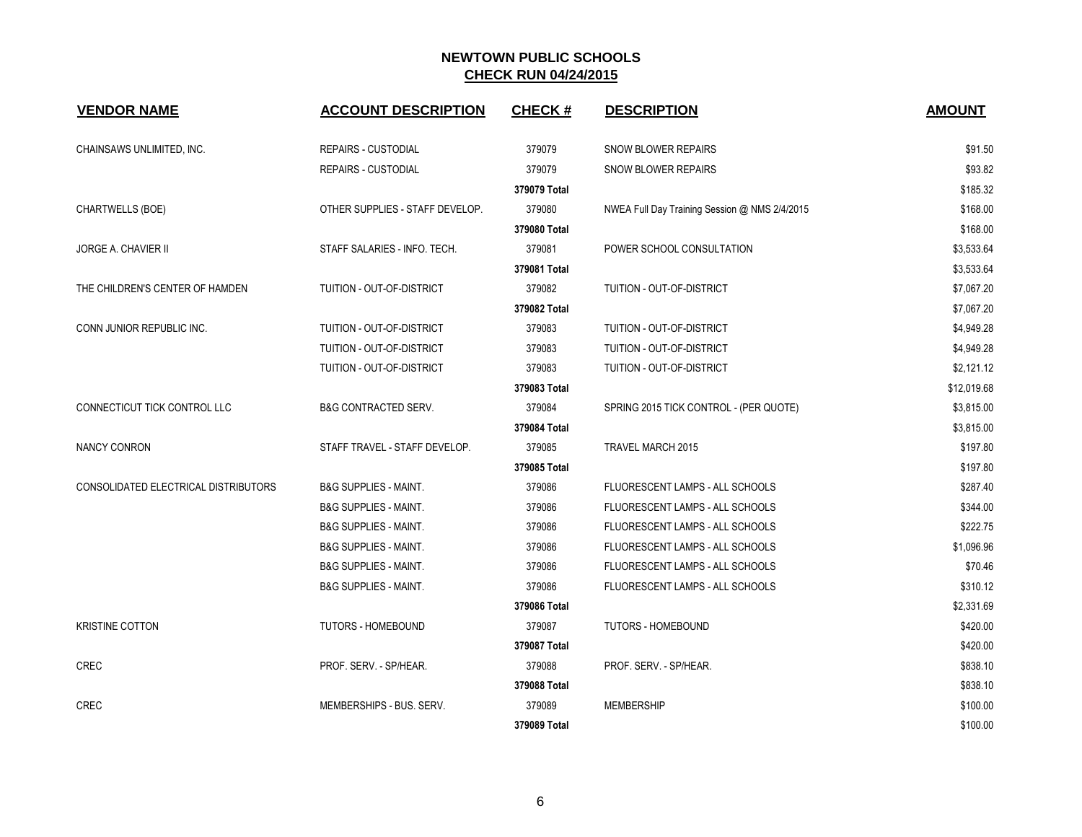| <b>VENDOR NAME</b>                   | <b>ACCOUNT DESCRIPTION</b>       | <b>CHECK#</b> | <b>DESCRIPTION</b>                            | <b>AMOUNT</b> |
|--------------------------------------|----------------------------------|---------------|-----------------------------------------------|---------------|
| CHAINSAWS UNLIMITED, INC.            | <b>REPAIRS - CUSTODIAL</b>       | 379079        | <b>SNOW BLOWER REPAIRS</b>                    | \$91.50       |
|                                      | REPAIRS - CUSTODIAL              | 379079        | <b>SNOW BLOWER REPAIRS</b>                    | \$93.82       |
|                                      |                                  | 379079 Total  |                                               | \$185.32      |
| CHARTWELLS (BOE)                     | OTHER SUPPLIES - STAFF DEVELOP.  | 379080        | NWEA Full Day Training Session @ NMS 2/4/2015 | \$168.00      |
|                                      |                                  | 379080 Total  |                                               | \$168.00      |
| <b>JORGE A. CHAVIER II</b>           | STAFF SALARIES - INFO. TECH.     | 379081        | POWER SCHOOL CONSULTATION                     | \$3,533.64    |
|                                      |                                  | 379081 Total  |                                               | \$3,533.64    |
| THE CHILDREN'S CENTER OF HAMDEN      | TUITION - OUT-OF-DISTRICT        | 379082        | TUITION - OUT-OF-DISTRICT                     | \$7,067.20    |
|                                      |                                  | 379082 Total  |                                               | \$7,067.20    |
| CONN JUNIOR REPUBLIC INC.            | TUITION - OUT-OF-DISTRICT        | 379083        | TUITION - OUT-OF-DISTRICT                     | \$4,949.28    |
|                                      | TUITION - OUT-OF-DISTRICT        | 379083        | TUITION - OUT-OF-DISTRICT                     | \$4,949.28    |
|                                      | TUITION - OUT-OF-DISTRICT        | 379083        | TUITION - OUT-OF-DISTRICT                     | \$2,121.12    |
|                                      |                                  | 379083 Total  |                                               | \$12,019.68   |
| CONNECTICUT TICK CONTROL LLC         | <b>B&amp;G CONTRACTED SERV.</b>  | 379084        | SPRING 2015 TICK CONTROL - (PER QUOTE)        | \$3,815.00    |
|                                      |                                  | 379084 Total  |                                               | \$3,815.00    |
| NANCY CONRON                         | STAFF TRAVEL - STAFF DEVELOP.    | 379085        | TRAVEL MARCH 2015                             | \$197.80      |
|                                      |                                  | 379085 Total  |                                               | \$197.80      |
| CONSOLIDATED ELECTRICAL DISTRIBUTORS | <b>B&amp;G SUPPLIES - MAINT.</b> | 379086        | FLUORESCENT LAMPS - ALL SCHOOLS               | \$287.40      |
|                                      | <b>B&amp;G SUPPLIES - MAINT.</b> | 379086        | FLUORESCENT LAMPS - ALL SCHOOLS               | \$344.00      |
|                                      | <b>B&amp;G SUPPLIES - MAINT.</b> | 379086        | FLUORESCENT LAMPS - ALL SCHOOLS               | \$222.75      |
|                                      | <b>B&amp;G SUPPLIES - MAINT.</b> | 379086        | FLUORESCENT LAMPS - ALL SCHOOLS               | \$1,096.96    |
|                                      | <b>B&amp;G SUPPLIES - MAINT.</b> | 379086        | FLUORESCENT LAMPS - ALL SCHOOLS               | \$70.46       |
|                                      | <b>B&amp;G SUPPLIES - MAINT.</b> | 379086        | FLUORESCENT LAMPS - ALL SCHOOLS               | \$310.12      |
|                                      |                                  | 379086 Total  |                                               | \$2,331.69    |
| <b>KRISTINE COTTON</b>               | <b>TUTORS - HOMEBOUND</b>        | 379087        | <b>TUTORS - HOMEBOUND</b>                     | \$420.00      |
|                                      |                                  | 379087 Total  |                                               | \$420.00      |
| CREC                                 | PROF. SERV. - SP/HEAR.           | 379088        | PROF. SERV. - SP/HEAR.                        | \$838.10      |
|                                      |                                  | 379088 Total  |                                               | \$838.10      |
| CREC                                 | MEMBERSHIPS - BUS, SERV.         | 379089        | <b>MEMBERSHIP</b>                             | \$100.00      |
|                                      |                                  | 379089 Total  |                                               | \$100.00      |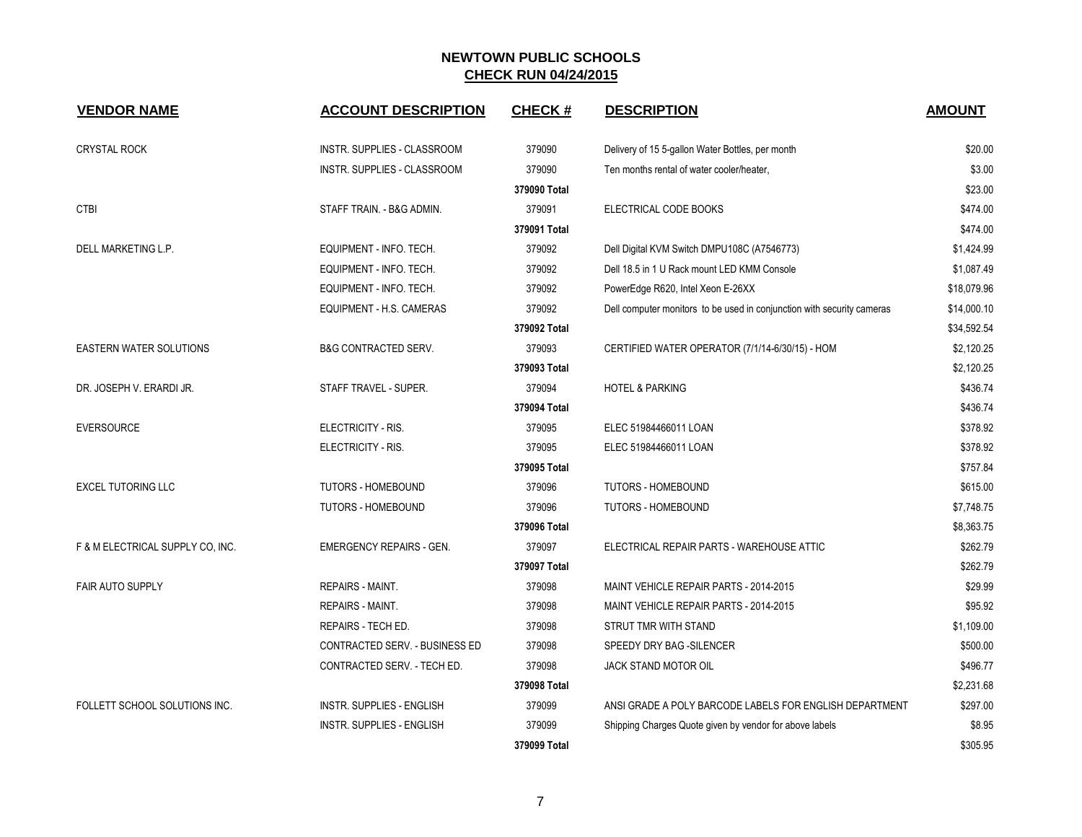| <b>VENDOR NAME</b>               | <b>ACCOUNT DESCRIPTION</b>       | <b>CHECK#</b> | <b>DESCRIPTION</b>                                                     | <b>AMOUNT</b> |
|----------------------------------|----------------------------------|---------------|------------------------------------------------------------------------|---------------|
| <b>CRYSTAL ROCK</b>              | INSTR. SUPPLIES - CLASSROOM      | 379090        | Delivery of 15 5-gallon Water Bottles, per month                       | \$20.00       |
|                                  | INSTR. SUPPLIES - CLASSROOM      | 379090        | Ten months rental of water cooler/heater,                              | \$3.00        |
|                                  |                                  | 379090 Total  |                                                                        | \$23.00       |
| <b>CTBI</b>                      | STAFF TRAIN. - B&G ADMIN.        | 379091        | ELECTRICAL CODE BOOKS                                                  | \$474.00      |
|                                  |                                  | 379091 Total  |                                                                        | \$474.00      |
| DELL MARKETING L.P.              | EQUIPMENT - INFO. TECH.          | 379092        | Dell Digital KVM Switch DMPU108C (A7546773)                            | \$1,424.99    |
|                                  | EQUIPMENT - INFO. TECH.          | 379092        | Dell 18.5 in 1 U Rack mount LED KMM Console                            | \$1,087.49    |
|                                  | EQUIPMENT - INFO. TECH.          | 379092        | PowerEdge R620, Intel Xeon E-26XX                                      | \$18,079.96   |
|                                  | EQUIPMENT - H.S. CAMERAS         | 379092        | Dell computer monitors to be used in conjunction with security cameras | \$14,000.10   |
|                                  |                                  | 379092 Total  |                                                                        | \$34,592.54   |
| <b>EASTERN WATER SOLUTIONS</b>   | <b>B&amp;G CONTRACTED SERV.</b>  | 379093        | CERTIFIED WATER OPERATOR (7/1/14-6/30/15) - HOM                        | \$2,120.25    |
|                                  |                                  | 379093 Total  |                                                                        | \$2,120.25    |
| DR. JOSEPH V. ERARDI JR.         | STAFF TRAVEL - SUPER.            | 379094        | <b>HOTEL &amp; PARKING</b>                                             | \$436.74      |
|                                  |                                  | 379094 Total  |                                                                        | \$436.74      |
| <b>EVERSOURCE</b>                | ELECTRICITY - RIS.               | 379095        | ELEC 51984466011 LOAN                                                  | \$378.92      |
|                                  | ELECTRICITY - RIS.               | 379095        | ELEC 51984466011 LOAN                                                  | \$378.92      |
|                                  |                                  | 379095 Total  |                                                                        | \$757.84      |
| <b>EXCEL TUTORING LLC</b>        | <b>TUTORS - HOMEBOUND</b>        | 379096        | <b>TUTORS - HOMEBOUND</b>                                              | \$615.00      |
|                                  | <b>TUTORS - HOMEBOUND</b>        | 379096        | <b>TUTORS - HOMEBOUND</b>                                              | \$7,748.75    |
|                                  |                                  | 379096 Total  |                                                                        | \$8,363.75    |
| F & M ELECTRICAL SUPPLY CO, INC. | <b>EMERGENCY REPAIRS - GEN.</b>  | 379097        | ELECTRICAL REPAIR PARTS - WAREHOUSE ATTIC                              | \$262.79      |
|                                  |                                  | 379097 Total  |                                                                        | \$262.79      |
| <b>FAIR AUTO SUPPLY</b>          | <b>REPAIRS - MAINT.</b>          | 379098        | MAINT VEHICLE REPAIR PARTS - 2014-2015                                 | \$29.99       |
|                                  | <b>REPAIRS - MAINT.</b>          | 379098        | MAINT VEHICLE REPAIR PARTS - 2014-2015                                 | \$95.92       |
|                                  | REPAIRS - TECH ED.               | 379098        | STRUT TMR WITH STAND                                                   | \$1,109.00    |
|                                  | CONTRACTED SERV. - BUSINESS ED   | 379098        | SPEEDY DRY BAG - SILENCER                                              | \$500.00      |
|                                  | CONTRACTED SERV. - TECH ED.      | 379098        | JACK STAND MOTOR OIL                                                   | \$496.77      |
|                                  |                                  | 379098 Total  |                                                                        | \$2,231.68    |
| FOLLETT SCHOOL SOLUTIONS INC.    | <b>INSTR. SUPPLIES - ENGLISH</b> | 379099        | ANSI GRADE A POLY BARCODE LABELS FOR ENGLISH DEPARTMENT                | \$297.00      |
|                                  | <b>INSTR. SUPPLIES - ENGLISH</b> | 379099        | Shipping Charges Quote given by vendor for above labels                | \$8.95        |
|                                  |                                  | 379099 Total  |                                                                        | \$305.95      |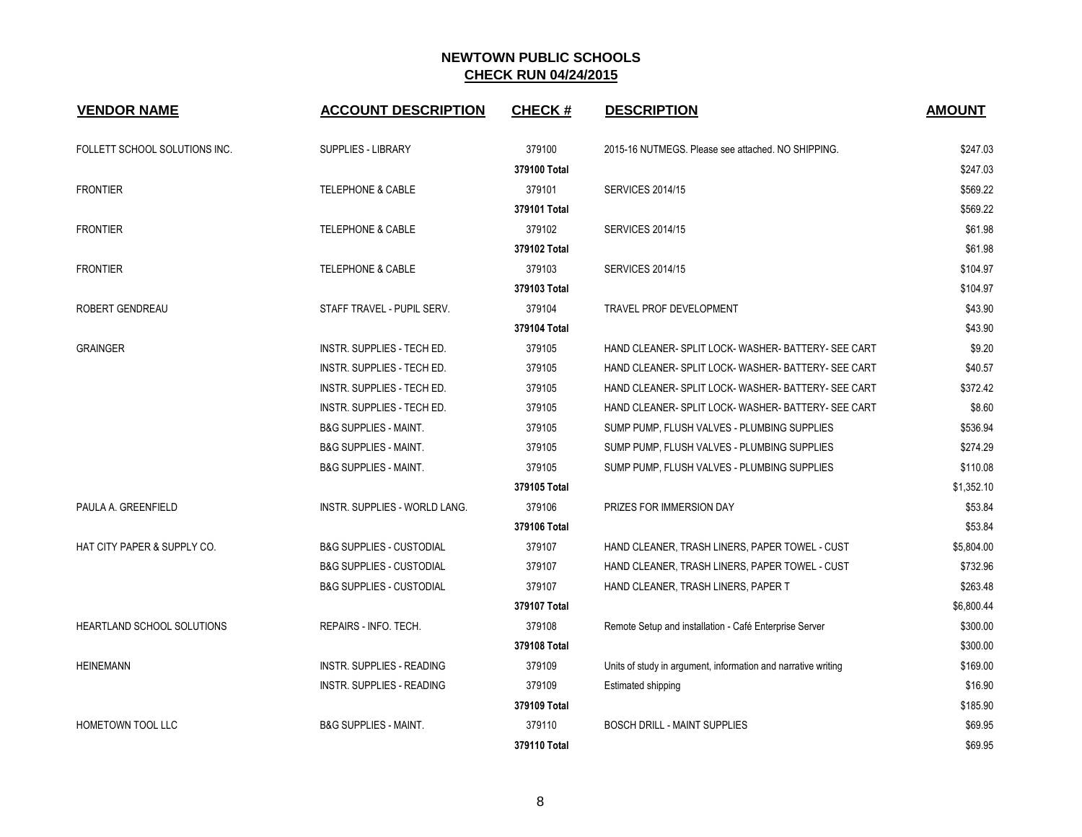| <b>VENDOR NAME</b>                | <b>ACCOUNT DESCRIPTION</b>          | <b>CHECK#</b> | <b>DESCRIPTION</b>                                            | <b>AMOUNT</b> |
|-----------------------------------|-------------------------------------|---------------|---------------------------------------------------------------|---------------|
| FOLLETT SCHOOL SOLUTIONS INC.     | SUPPLIES - LIBRARY                  | 379100        | 2015-16 NUTMEGS. Please see attached. NO SHIPPING.            | \$247.03      |
|                                   |                                     | 379100 Total  |                                                               | \$247.03      |
| <b>FRONTIER</b>                   | <b>TELEPHONE &amp; CABLE</b>        | 379101        | <b>SERVICES 2014/15</b>                                       | \$569.22      |
|                                   |                                     | 379101 Total  |                                                               | \$569.22      |
| <b>FRONTIER</b>                   | <b>TELEPHONE &amp; CABLE</b>        | 379102        | <b>SERVICES 2014/15</b>                                       | \$61.98       |
|                                   |                                     | 379102 Total  |                                                               | \$61.98       |
| <b>FRONTIER</b>                   | <b>TELEPHONE &amp; CABLE</b>        | 379103        | <b>SERVICES 2014/15</b>                                       | \$104.97      |
|                                   |                                     | 379103 Total  |                                                               | \$104.97      |
| ROBERT GENDREAU                   | STAFF TRAVEL - PUPIL SERV.          | 379104        | <b>TRAVEL PROF DEVELOPMENT</b>                                | \$43.90       |
|                                   |                                     | 379104 Total  |                                                               | \$43.90       |
| <b>GRAINGER</b>                   | INSTR. SUPPLIES - TECH ED.          | 379105        | HAND CLEANER- SPLIT LOCK- WASHER- BATTERY- SEE CART           | \$9.20        |
|                                   | <b>INSTR. SUPPLIES - TECH ED.</b>   | 379105        | HAND CLEANER-SPLIT LOCK-WASHER-BATTERY-SEE CART               | \$40.57       |
|                                   | INSTR. SUPPLIES - TECH ED.          | 379105        | HAND CLEANER- SPLIT LOCK- WASHER- BATTERY- SEE CART           | \$372.42      |
|                                   | INSTR. SUPPLIES - TECH ED.          | 379105        | HAND CLEANER- SPLIT LOCK- WASHER- BATTERY- SEE CART           | \$8.60        |
|                                   | <b>B&amp;G SUPPLIES - MAINT.</b>    | 379105        | SUMP PUMP, FLUSH VALVES - PLUMBING SUPPLIES                   | \$536.94      |
|                                   | <b>B&amp;G SUPPLIES - MAINT.</b>    | 379105        | SUMP PUMP, FLUSH VALVES - PLUMBING SUPPLIES                   | \$274.29      |
|                                   | <b>B&amp;G SUPPLIES - MAINT.</b>    | 379105        | SUMP PUMP, FLUSH VALVES - PLUMBING SUPPLIES                   | \$110.08      |
|                                   |                                     | 379105 Total  |                                                               | \$1,352.10    |
| PAULA A. GREENFIELD               | INSTR. SUPPLIES - WORLD LANG.       | 379106        | PRIZES FOR IMMERSION DAY                                      | \$53.84       |
|                                   |                                     | 379106 Total  |                                                               | \$53.84       |
| HAT CITY PAPER & SUPPLY CO.       | <b>B&amp;G SUPPLIES - CUSTODIAL</b> | 379107        | HAND CLEANER, TRASH LINERS, PAPER TOWEL - CUST                | \$5,804.00    |
|                                   | <b>B&amp;G SUPPLIES - CUSTODIAL</b> | 379107        | HAND CLEANER, TRASH LINERS, PAPER TOWEL - CUST                | \$732.96      |
|                                   | <b>B&amp;G SUPPLIES - CUSTODIAL</b> | 379107        | HAND CLEANER, TRASH LINERS, PAPER T                           | \$263.48      |
|                                   |                                     | 379107 Total  |                                                               | \$6,800.44    |
| <b>HEARTLAND SCHOOL SOLUTIONS</b> | REPAIRS - INFO. TECH.               | 379108        | Remote Setup and installation - Café Enterprise Server        | \$300.00      |
|                                   |                                     | 379108 Total  |                                                               | \$300.00      |
| <b>HEINEMANN</b>                  | INSTR. SUPPLIES - READING           | 379109        | Units of study in argument, information and narrative writing | \$169.00      |
|                                   | <b>INSTR. SUPPLIES - READING</b>    | 379109        | Estimated shipping                                            | \$16.90       |
|                                   |                                     | 379109 Total  |                                                               | \$185.90      |
| HOMETOWN TOOL LLC                 | <b>B&amp;G SUPPLIES - MAINT.</b>    | 379110        | <b>BOSCH DRILL - MAINT SUPPLIES</b>                           | \$69.95       |
|                                   |                                     | 379110 Total  |                                                               | \$69.95       |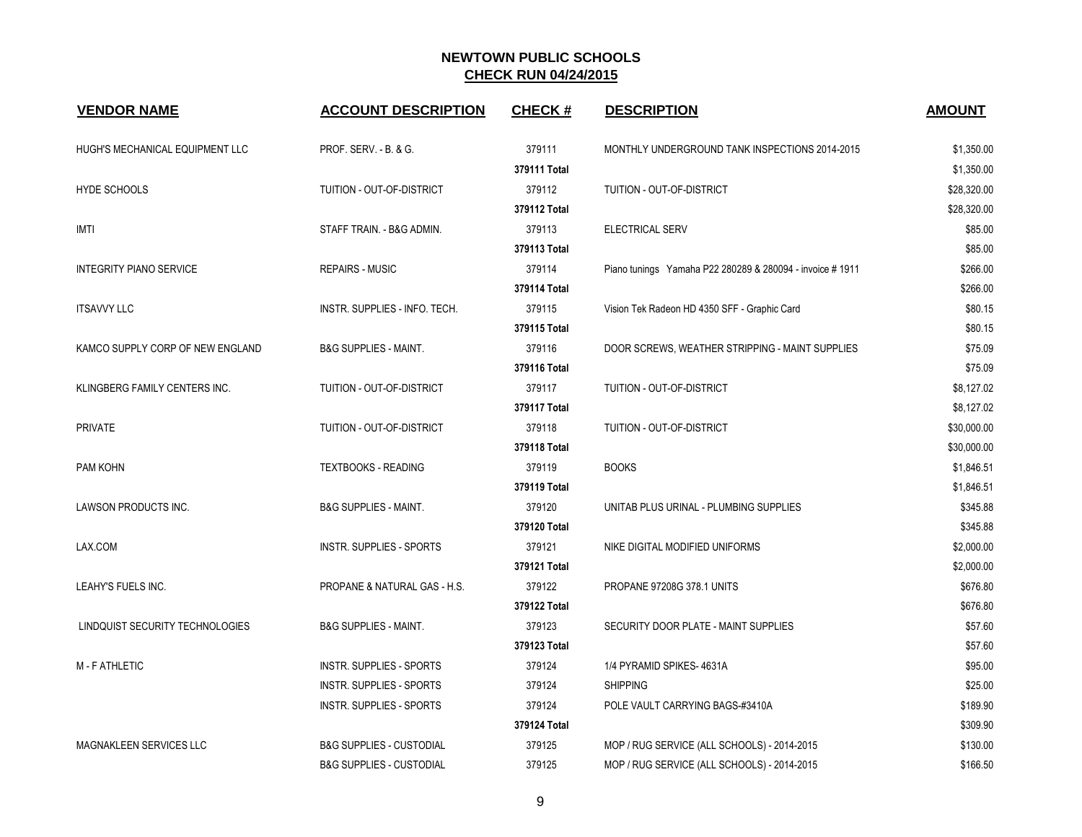| <b>VENDOR NAME</b>               | <b>ACCOUNT DESCRIPTION</b>          | <b>CHECK#</b> | <b>DESCRIPTION</b>                                       | <b>AMOUNT</b> |
|----------------------------------|-------------------------------------|---------------|----------------------------------------------------------|---------------|
| HUGH'S MECHANICAL EQUIPMENT LLC  | PROF. SERV. - B. & G.               | 379111        | MONTHLY UNDERGROUND TANK INSPECTIONS 2014-2015           | \$1,350.00    |
|                                  |                                     | 379111 Total  |                                                          | \$1,350.00    |
| HYDE SCHOOLS                     | TUITION - OUT-OF-DISTRICT           | 379112        | TUITION - OUT-OF-DISTRICT                                | \$28,320.00   |
|                                  |                                     | 379112 Total  |                                                          | \$28,320.00   |
| <b>IMTI</b>                      | STAFF TRAIN. - B&G ADMIN.           | 379113        | ELECTRICAL SERV                                          | \$85.00       |
|                                  |                                     | 379113 Total  |                                                          | \$85.00       |
| <b>INTEGRITY PIANO SERVICE</b>   | <b>REPAIRS - MUSIC</b>              | 379114        | Piano tunings Yamaha P22 280289 & 280094 - invoice #1911 | \$266.00      |
|                                  |                                     | 379114 Total  |                                                          | \$266.00      |
| <b>ITSAVVY LLC</b>               | INSTR. SUPPLIES - INFO. TECH.       | 379115        | Vision Tek Radeon HD 4350 SFF - Graphic Card             | \$80.15       |
|                                  |                                     | 379115 Total  |                                                          | \$80.15       |
| KAMCO SUPPLY CORP OF NEW ENGLAND | <b>B&amp;G SUPPLIES - MAINT.</b>    | 379116        | DOOR SCREWS, WEATHER STRIPPING - MAINT SUPPLIES          | \$75.09       |
|                                  |                                     | 379116 Total  |                                                          | \$75.09       |
| KLINGBERG FAMILY CENTERS INC.    | TUITION - OUT-OF-DISTRICT           | 379117        | TUITION - OUT-OF-DISTRICT                                | \$8,127.02    |
|                                  |                                     | 379117 Total  |                                                          | \$8,127.02    |
| <b>PRIVATE</b>                   | TUITION - OUT-OF-DISTRICT           | 379118        | TUITION - OUT-OF-DISTRICT                                | \$30,000.00   |
|                                  |                                     | 379118 Total  |                                                          | \$30,000.00   |
| PAM KOHN                         | <b>TEXTBOOKS - READING</b>          | 379119        | <b>BOOKS</b>                                             | \$1,846.51    |
|                                  |                                     | 379119 Total  |                                                          | \$1,846.51    |
| LAWSON PRODUCTS INC.             | <b>B&amp;G SUPPLIES - MAINT.</b>    | 379120        | UNITAB PLUS URINAL - PLUMBING SUPPLIES                   | \$345.88      |
|                                  |                                     | 379120 Total  |                                                          | \$345.88      |
| LAX.COM                          | <b>INSTR. SUPPLIES - SPORTS</b>     | 379121        | NIKE DIGITAL MODIFIED UNIFORMS                           | \$2,000.00    |
|                                  |                                     | 379121 Total  |                                                          | \$2,000.00    |
| LEAHY'S FUELS INC.               | PROPANE & NATURAL GAS - H.S.        | 379122        | PROPANE 97208G 378.1 UNITS                               | \$676.80      |
|                                  |                                     | 379122 Total  |                                                          | \$676.80      |
| LINDQUIST SECURITY TECHNOLOGIES  | <b>B&amp;G SUPPLIES - MAINT.</b>    | 379123        | SECURITY DOOR PLATE - MAINT SUPPLIES                     | \$57.60       |
|                                  |                                     | 379123 Total  |                                                          | \$57.60       |
| <b>M-FATHLETIC</b>               | <b>INSTR. SUPPLIES - SPORTS</b>     | 379124        | 1/4 PYRAMID SPIKES-4631A                                 | \$95.00       |
|                                  | <b>INSTR. SUPPLIES - SPORTS</b>     | 379124        | <b>SHIPPING</b>                                          | \$25.00       |
|                                  | <b>INSTR. SUPPLIES - SPORTS</b>     | 379124        | POLE VAULT CARRYING BAGS-#3410A                          | \$189.90      |
|                                  |                                     | 379124 Total  |                                                          | \$309.90      |
| <b>MAGNAKLEEN SERVICES LLC</b>   | <b>B&amp;G SUPPLIES - CUSTODIAL</b> | 379125        | MOP / RUG SERVICE (ALL SCHOOLS) - 2014-2015              | \$130.00      |
|                                  | <b>B&amp;G SUPPLIES - CUSTODIAL</b> | 379125        | MOP / RUG SERVICE (ALL SCHOOLS) - 2014-2015              | \$166.50      |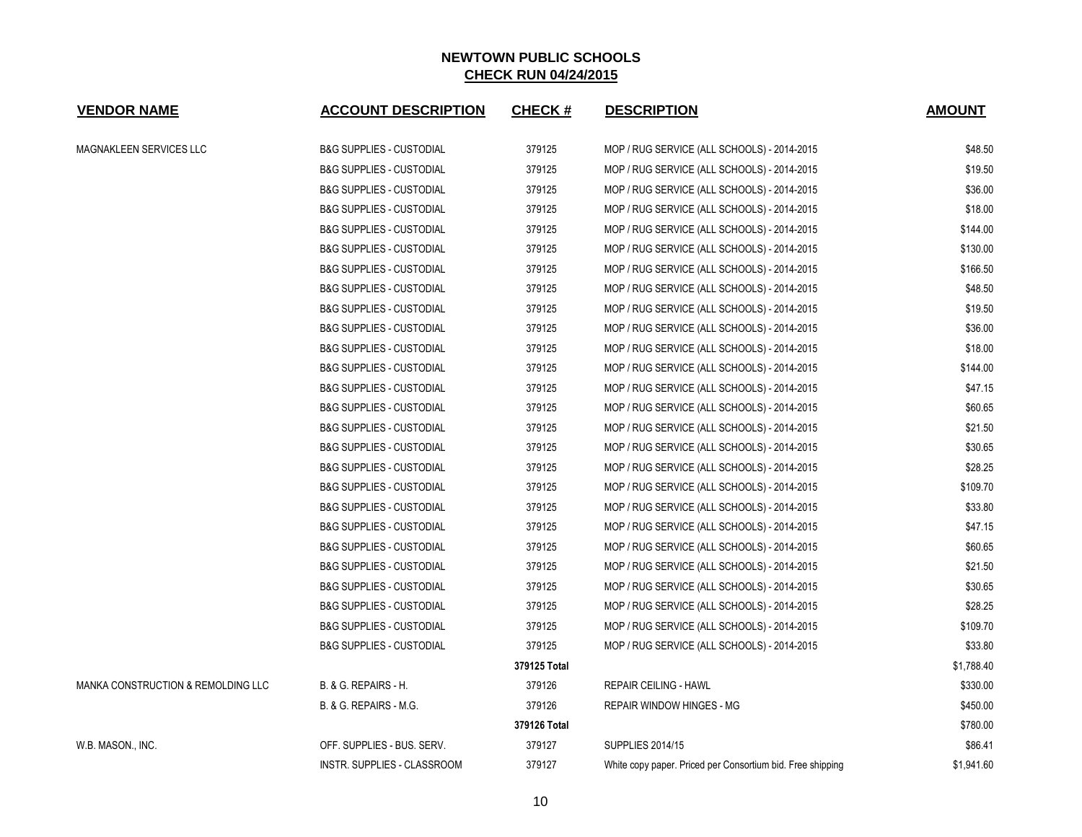| <b>VENDOR NAME</b>                 | <b>ACCOUNT DESCRIPTION</b>          | <b>CHECK#</b> | <b>DESCRIPTION</b>                                         | <b>AMOUNT</b> |
|------------------------------------|-------------------------------------|---------------|------------------------------------------------------------|---------------|
| MAGNAKLEEN SERVICES LLC            | <b>B&amp;G SUPPLIES - CUSTODIAL</b> | 379125        | MOP / RUG SERVICE (ALL SCHOOLS) - 2014-2015                | \$48.50       |
|                                    | <b>B&amp;G SUPPLIES - CUSTODIAL</b> | 379125        | MOP / RUG SERVICE (ALL SCHOOLS) - 2014-2015                | \$19.50       |
|                                    | <b>B&amp;G SUPPLIES - CUSTODIAL</b> | 379125        | MOP / RUG SERVICE (ALL SCHOOLS) - 2014-2015                | \$36.00       |
|                                    | <b>B&amp;G SUPPLIES - CUSTODIAL</b> | 379125        | MOP / RUG SERVICE (ALL SCHOOLS) - 2014-2015                | \$18.00       |
|                                    | <b>B&amp;G SUPPLIES - CUSTODIAL</b> | 379125        | MOP / RUG SERVICE (ALL SCHOOLS) - 2014-2015                | \$144.00      |
|                                    | <b>B&amp;G SUPPLIES - CUSTODIAL</b> | 379125        | MOP / RUG SERVICE (ALL SCHOOLS) - 2014-2015                | \$130.00      |
|                                    | <b>B&amp;G SUPPLIES - CUSTODIAL</b> | 379125        | MOP / RUG SERVICE (ALL SCHOOLS) - 2014-2015                | \$166.50      |
|                                    | <b>B&amp;G SUPPLIES - CUSTODIAL</b> | 379125        | MOP / RUG SERVICE (ALL SCHOOLS) - 2014-2015                | \$48.50       |
|                                    | <b>B&amp;G SUPPLIES - CUSTODIAL</b> | 379125        | MOP / RUG SERVICE (ALL SCHOOLS) - 2014-2015                | \$19.50       |
|                                    | <b>B&amp;G SUPPLIES - CUSTODIAL</b> | 379125        | MOP / RUG SERVICE (ALL SCHOOLS) - 2014-2015                | \$36.00       |
|                                    | <b>B&amp;G SUPPLIES - CUSTODIAL</b> | 379125        | MOP / RUG SERVICE (ALL SCHOOLS) - 2014-2015                | \$18.00       |
|                                    | <b>B&amp;G SUPPLIES - CUSTODIAL</b> | 379125        | MOP / RUG SERVICE (ALL SCHOOLS) - 2014-2015                | \$144.00      |
|                                    | <b>B&amp;G SUPPLIES - CUSTODIAL</b> | 379125        | MOP / RUG SERVICE (ALL SCHOOLS) - 2014-2015                | \$47.15       |
|                                    | <b>B&amp;G SUPPLIES - CUSTODIAL</b> | 379125        | MOP / RUG SERVICE (ALL SCHOOLS) - 2014-2015                | \$60.65       |
|                                    | <b>B&amp;G SUPPLIES - CUSTODIAL</b> | 379125        | MOP / RUG SERVICE (ALL SCHOOLS) - 2014-2015                | \$21.50       |
|                                    | <b>B&amp;G SUPPLIES - CUSTODIAL</b> | 379125        | MOP / RUG SERVICE (ALL SCHOOLS) - 2014-2015                | \$30.65       |
|                                    | <b>B&amp;G SUPPLIES - CUSTODIAL</b> | 379125        | MOP / RUG SERVICE (ALL SCHOOLS) - 2014-2015                | \$28.25       |
|                                    | <b>B&amp;G SUPPLIES - CUSTODIAL</b> | 379125        | MOP / RUG SERVICE (ALL SCHOOLS) - 2014-2015                | \$109.70      |
|                                    | <b>B&amp;G SUPPLIES - CUSTODIAL</b> | 379125        | MOP / RUG SERVICE (ALL SCHOOLS) - 2014-2015                | \$33.80       |
|                                    | <b>B&amp;G SUPPLIES - CUSTODIAL</b> | 379125        | MOP / RUG SERVICE (ALL SCHOOLS) - 2014-2015                | \$47.15       |
|                                    | <b>B&amp;G SUPPLIES - CUSTODIAL</b> | 379125        | MOP / RUG SERVICE (ALL SCHOOLS) - 2014-2015                | \$60.65       |
|                                    | <b>B&amp;G SUPPLIES - CUSTODIAL</b> | 379125        | MOP / RUG SERVICE (ALL SCHOOLS) - 2014-2015                | \$21.50       |
|                                    | <b>B&amp;G SUPPLIES - CUSTODIAL</b> | 379125        | MOP / RUG SERVICE (ALL SCHOOLS) - 2014-2015                | \$30.65       |
|                                    | <b>B&amp;G SUPPLIES - CUSTODIAL</b> | 379125        | MOP / RUG SERVICE (ALL SCHOOLS) - 2014-2015                | \$28.25       |
|                                    | <b>B&amp;G SUPPLIES - CUSTODIAL</b> | 379125        | MOP / RUG SERVICE (ALL SCHOOLS) - 2014-2015                | \$109.70      |
|                                    | <b>B&amp;G SUPPLIES - CUSTODIAL</b> | 379125        | MOP / RUG SERVICE (ALL SCHOOLS) - 2014-2015                | \$33.80       |
|                                    |                                     | 379125 Total  |                                                            | \$1,788.40    |
| MANKA CONSTRUCTION & REMOLDING LLC | <b>B. &amp; G. REPAIRS - H.</b>     | 379126        | <b>REPAIR CEILING - HAWL</b>                               | \$330.00      |
|                                    | B. & G. REPAIRS - M.G.              | 379126        | <b>REPAIR WINDOW HINGES - MG</b>                           | \$450.00      |
|                                    |                                     | 379126 Total  |                                                            | \$780.00      |
| W.B. MASON., INC.                  | OFF. SUPPLIES - BUS. SERV.          | 379127        | <b>SUPPLIES 2014/15</b>                                    | \$86.41       |
|                                    | INSTR. SUPPLIES - CLASSROOM         | 379127        | White copy paper. Priced per Consortium bid. Free shipping | \$1,941.60    |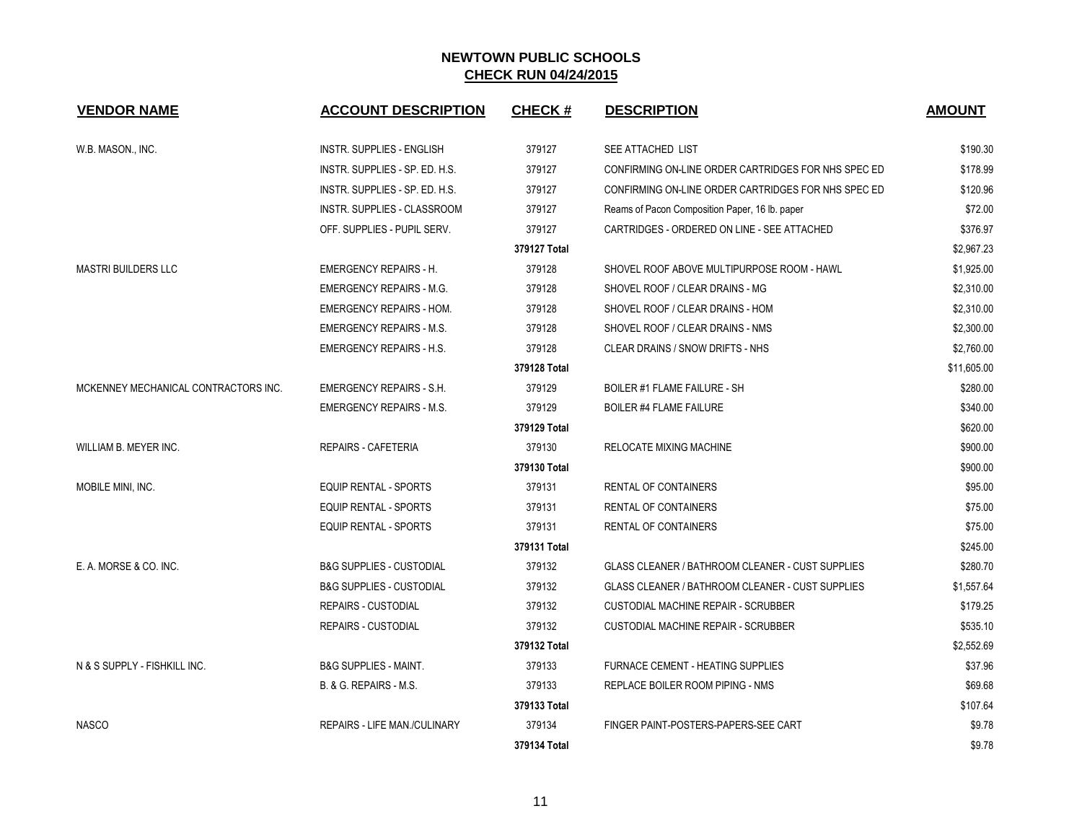| <b>VENDOR NAME</b>                   | <b>ACCOUNT DESCRIPTION</b>          | <b>CHECK#</b> | <b>DESCRIPTION</b>                                      | <b>AMOUNT</b> |
|--------------------------------------|-------------------------------------|---------------|---------------------------------------------------------|---------------|
| W.B. MASON., INC.                    | INSTR. SUPPLIES - ENGLISH           | 379127        | SEE ATTACHED LIST                                       | \$190.30      |
|                                      | INSTR. SUPPLIES - SP. ED. H.S.      | 379127        | CONFIRMING ON-LINE ORDER CARTRIDGES FOR NHS SPEC ED     | \$178.99      |
|                                      | INSTR. SUPPLIES - SP. ED. H.S.      | 379127        | CONFIRMING ON-LINE ORDER CARTRIDGES FOR NHS SPEC ED     | \$120.96      |
|                                      | INSTR. SUPPLIES - CLASSROOM         | 379127        | Reams of Pacon Composition Paper, 16 lb. paper          | \$72.00       |
|                                      | OFF. SUPPLIES - PUPIL SERV.         | 379127        | CARTRIDGES - ORDERED ON LINE - SEE ATTACHED             | \$376.97      |
|                                      |                                     | 379127 Total  |                                                         | \$2,967.23    |
| MASTRI BUILDERS LLC                  | <b>EMERGENCY REPAIRS - H.</b>       | 379128        | SHOVEL ROOF ABOVE MULTIPURPOSE ROOM - HAWL              | \$1,925.00    |
|                                      | <b>EMERGENCY REPAIRS - M.G.</b>     | 379128        | SHOVEL ROOF / CLEAR DRAINS - MG                         | \$2,310.00    |
|                                      | <b>EMERGENCY REPAIRS - HOM.</b>     | 379128        | SHOVEL ROOF / CLEAR DRAINS - HOM                        | \$2,310.00    |
|                                      | <b>EMERGENCY REPAIRS - M.S.</b>     | 379128        | SHOVEL ROOF / CLEAR DRAINS - NMS                        | \$2,300.00    |
|                                      | <b>EMERGENCY REPAIRS - H.S.</b>     | 379128        | CLEAR DRAINS / SNOW DRIFTS - NHS                        | \$2,760.00    |
|                                      |                                     | 379128 Total  |                                                         | \$11,605.00   |
| MCKENNEY MECHANICAL CONTRACTORS INC. | <b>EMERGENCY REPAIRS - S.H.</b>     | 379129        | <b>BOILER #1 FLAME FAILURE - SH</b>                     | \$280.00      |
|                                      | <b>EMERGENCY REPAIRS - M.S.</b>     | 379129        | <b>BOILER #4 FLAME FAILURE</b>                          | \$340.00      |
|                                      |                                     | 379129 Total  |                                                         | \$620.00      |
| WILLIAM B. MEYER INC.                | <b>REPAIRS - CAFETERIA</b>          | 379130        | RELOCATE MIXING MACHINE                                 | \$900.00      |
|                                      |                                     | 379130 Total  |                                                         | \$900.00      |
| MOBILE MINI, INC.                    | <b>EQUIP RENTAL - SPORTS</b>        | 379131        | <b>RENTAL OF CONTAINERS</b>                             | \$95.00       |
|                                      | EQUIP RENTAL - SPORTS               | 379131        | <b>RENTAL OF CONTAINERS</b>                             | \$75.00       |
|                                      | EQUIP RENTAL - SPORTS               | 379131        | RENTAL OF CONTAINERS                                    | \$75.00       |
|                                      |                                     | 379131 Total  |                                                         | \$245.00      |
| E. A. MORSE & CO. INC.               | <b>B&amp;G SUPPLIES - CUSTODIAL</b> | 379132        | <b>GLASS CLEANER / BATHROOM CLEANER - CUST SUPPLIES</b> | \$280.70      |
|                                      | <b>B&amp;G SUPPLIES - CUSTODIAL</b> | 379132        | GLASS CLEANER / BATHROOM CLEANER - CUST SUPPLIES        | \$1,557.64    |
|                                      | <b>REPAIRS - CUSTODIAL</b>          | 379132        | <b>CUSTODIAL MACHINE REPAIR - SCRUBBER</b>              | \$179.25      |
|                                      | <b>REPAIRS - CUSTODIAL</b>          | 379132        | <b>CUSTODIAL MACHINE REPAIR - SCRUBBER</b>              | \$535.10      |
|                                      |                                     | 379132 Total  |                                                         | \$2,552.69    |
| N & S SUPPLY - FISHKILL INC.         | <b>B&amp;G SUPPLIES - MAINT.</b>    | 379133        | <b>FURNACE CEMENT - HEATING SUPPLIES</b>                | \$37.96       |
|                                      | B. & G. REPAIRS - M.S.              | 379133        | REPLACE BOILER ROOM PIPING - NMS                        | \$69.68       |
|                                      |                                     | 379133 Total  |                                                         | \$107.64      |
| <b>NASCO</b>                         | <b>REPAIRS - LIFE MAN /CULINARY</b> | 379134        | FINGER PAINT-POSTERS-PAPERS-SEE CART                    | \$9.78        |
|                                      |                                     | 379134 Total  |                                                         | \$9.78        |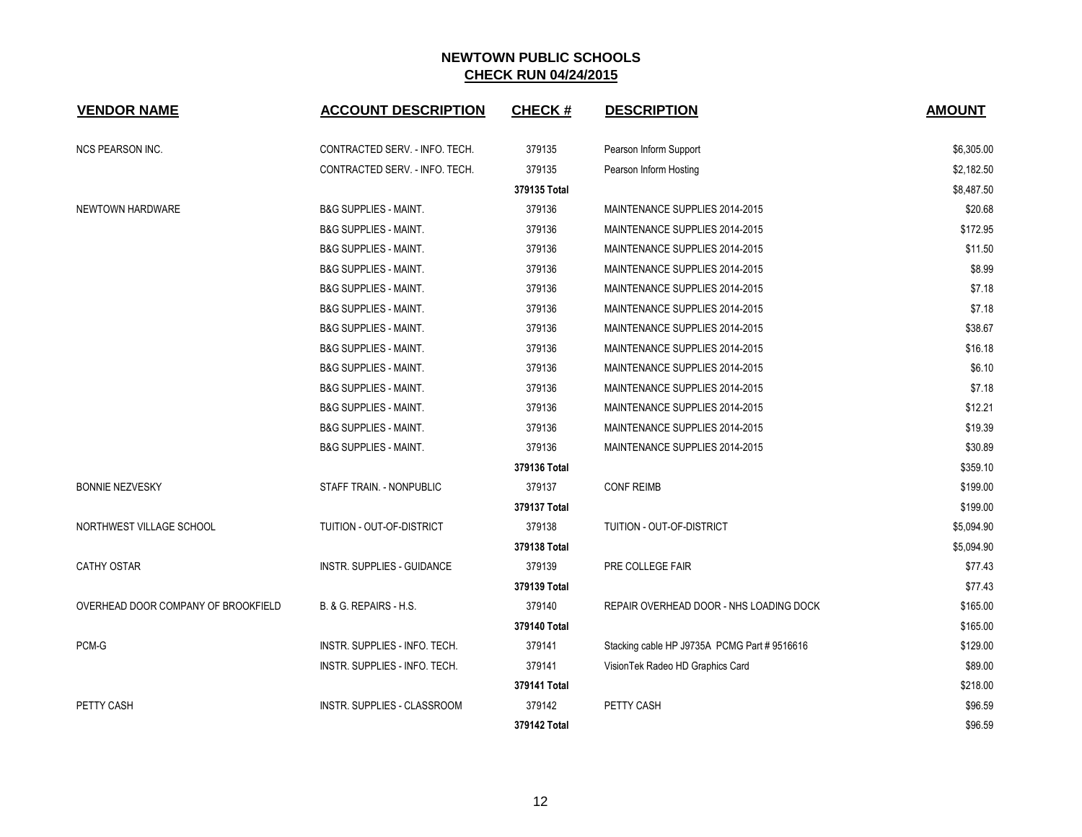| <b>VENDOR NAME</b>                  | <b>ACCOUNT DESCRIPTION</b>         | <b>CHECK#</b> | <b>DESCRIPTION</b>                           | <b>AMOUNT</b> |
|-------------------------------------|------------------------------------|---------------|----------------------------------------------|---------------|
| NCS PEARSON INC.                    | CONTRACTED SERV. - INFO. TECH.     | 379135        | Pearson Inform Support                       | \$6,305.00    |
|                                     | CONTRACTED SERV. - INFO. TECH.     | 379135        | Pearson Inform Hosting                       | \$2,182.50    |
|                                     |                                    | 379135 Total  |                                              | \$8,487.50    |
| NEWTOWN HARDWARE                    | <b>B&amp;G SUPPLIES - MAINT.</b>   | 379136        | MAINTENANCE SUPPLIES 2014-2015               | \$20.68       |
|                                     | <b>B&amp;G SUPPLIES - MAINT.</b>   | 379136        | MAINTENANCE SUPPLIES 2014-2015               | \$172.95      |
|                                     | <b>B&amp;G SUPPLIES - MAINT.</b>   | 379136        | MAINTENANCE SUPPLIES 2014-2015               | \$11.50       |
|                                     | <b>B&amp;G SUPPLIES - MAINT.</b>   | 379136        | MAINTENANCE SUPPLIES 2014-2015               | \$8.99        |
|                                     | <b>B&amp;G SUPPLIES - MAINT.</b>   | 379136        | MAINTENANCE SUPPLIES 2014-2015               | \$7.18        |
|                                     | <b>B&amp;G SUPPLIES - MAINT.</b>   | 379136        | MAINTENANCE SUPPLIES 2014-2015               | \$7.18        |
|                                     | <b>B&amp;G SUPPLIES - MAINT.</b>   | 379136        | MAINTENANCE SUPPLIES 2014-2015               | \$38.67       |
|                                     | <b>B&amp;G SUPPLIES - MAINT.</b>   | 379136        | MAINTENANCE SUPPLIES 2014-2015               | \$16.18       |
|                                     | <b>B&amp;G SUPPLIES - MAINT.</b>   | 379136        | MAINTENANCE SUPPLIES 2014-2015               | \$6.10        |
|                                     | <b>B&amp;G SUPPLIES - MAINT.</b>   | 379136        | MAINTENANCE SUPPLIES 2014-2015               | \$7.18        |
|                                     | <b>B&amp;G SUPPLIES - MAINT.</b>   | 379136        | MAINTENANCE SUPPLIES 2014-2015               | \$12.21       |
|                                     | <b>B&amp;G SUPPLIES - MAINT.</b>   | 379136        | MAINTENANCE SUPPLIES 2014-2015               | \$19.39       |
|                                     | <b>B&amp;G SUPPLIES - MAINT.</b>   | 379136        | MAINTENANCE SUPPLIES 2014-2015               | \$30.89       |
|                                     |                                    | 379136 Total  |                                              | \$359.10      |
| <b>BONNIE NEZVESKY</b>              | STAFF TRAIN. - NONPUBLIC           | 379137        | <b>CONF REIMB</b>                            | \$199.00      |
|                                     |                                    | 379137 Total  |                                              | \$199.00      |
| NORTHWEST VILLAGE SCHOOL            | TUITION - OUT-OF-DISTRICT          | 379138        | TUITION - OUT-OF-DISTRICT                    | \$5,094.90    |
|                                     |                                    | 379138 Total  |                                              | \$5,094.90    |
| <b>CATHY OSTAR</b>                  | <b>INSTR. SUPPLIES - GUIDANCE</b>  | 379139        | PRE COLLEGE FAIR                             | \$77.43       |
|                                     |                                    | 379139 Total  |                                              | \$77.43       |
| OVERHEAD DOOR COMPANY OF BROOKFIELD | B. & G. REPAIRS - H.S.             | 379140        | REPAIR OVERHEAD DOOR - NHS LOADING DOCK      | \$165.00      |
|                                     |                                    | 379140 Total  |                                              | \$165.00      |
| PCM-G                               | INSTR. SUPPLIES - INFO. TECH.      | 379141        | Stacking cable HP J9735A PCMG Part # 9516616 | \$129.00      |
|                                     | INSTR. SUPPLIES - INFO. TECH.      | 379141        | VisionTek Radeo HD Graphics Card             | \$89.00       |
|                                     |                                    | 379141 Total  |                                              | \$218.00      |
| PETTY CASH                          | <b>INSTR. SUPPLIES - CLASSROOM</b> | 379142        | PETTY CASH                                   | \$96.59       |
|                                     |                                    | 379142 Total  |                                              | \$96.59       |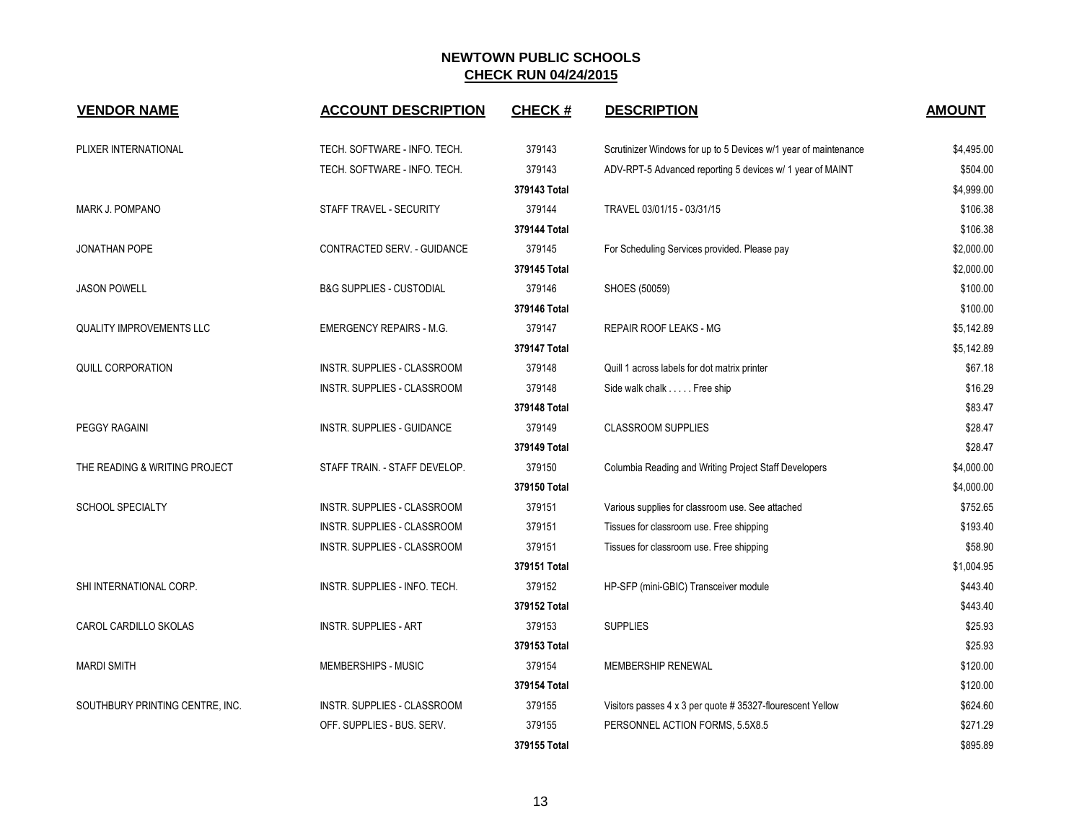| <b>VENDOR NAME</b>              | <b>ACCOUNT DESCRIPTION</b>          | <b>CHECK#</b> | <b>DESCRIPTION</b>                                              | <b>AMOUNT</b> |
|---------------------------------|-------------------------------------|---------------|-----------------------------------------------------------------|---------------|
| PLIXER INTERNATIONAL            | TECH. SOFTWARE - INFO. TECH.        | 379143        | Scrutinizer Windows for up to 5 Devices w/1 year of maintenance | \$4,495.00    |
|                                 | TECH. SOFTWARE - INFO. TECH.        | 379143        | ADV-RPT-5 Advanced reporting 5 devices w/ 1 year of MAINT       | \$504.00      |
|                                 |                                     | 379143 Total  |                                                                 | \$4,999.00    |
| MARK J. POMPANO                 | STAFF TRAVEL - SECURITY             | 379144        | TRAVEL 03/01/15 - 03/31/15                                      | \$106.38      |
|                                 |                                     | 379144 Total  |                                                                 | \$106.38      |
| JONATHAN POPE                   | CONTRACTED SERV. - GUIDANCE         | 379145        | For Scheduling Services provided. Please pay                    | \$2,000.00    |
|                                 |                                     | 379145 Total  |                                                                 | \$2,000.00    |
| <b>JASON POWELL</b>             | <b>B&amp;G SUPPLIES - CUSTODIAL</b> | 379146        | SHOES (50059)                                                   | \$100.00      |
|                                 | 379146 Total                        |               | \$100.00                                                        |               |
| <b>QUALITY IMPROVEMENTS LLC</b> | <b>EMERGENCY REPAIRS - M.G.</b>     | 379147        | REPAIR ROOF LEAKS - MG                                          | \$5,142.89    |
|                                 |                                     | 379147 Total  |                                                                 | \$5,142.89    |
| <b>QUILL CORPORATION</b>        | INSTR. SUPPLIES - CLASSROOM         | 379148        | Quill 1 across labels for dot matrix printer                    | \$67.18       |
|                                 | INSTR. SUPPLIES - CLASSROOM         | 379148        | Side walk chalk Free ship                                       | \$16.29       |
|                                 |                                     | 379148 Total  |                                                                 | \$83.47       |
| <b>PEGGY RAGAINI</b>            | <b>INSTR. SUPPLIES - GUIDANCE</b>   | 379149        | <b>CLASSROOM SUPPLIES</b>                                       | \$28.47       |
|                                 |                                     | 379149 Total  |                                                                 | \$28.47       |
| THE READING & WRITING PROJECT   | STAFF TRAIN. - STAFF DEVELOP.       | 379150        | Columbia Reading and Writing Project Staff Developers           | \$4,000.00    |
|                                 |                                     | 379150 Total  |                                                                 | \$4,000.00    |
| <b>SCHOOL SPECIALTY</b>         | INSTR. SUPPLIES - CLASSROOM         | 379151        | Various supplies for classroom use. See attached                | \$752.65      |
|                                 | INSTR. SUPPLIES - CLASSROOM         | 379151        | Tissues for classroom use. Free shipping                        | \$193.40      |
|                                 | INSTR. SUPPLIES - CLASSROOM         | 379151        | Tissues for classroom use. Free shipping                        | \$58.90       |
|                                 |                                     | 379151 Total  |                                                                 | \$1,004.95    |
| SHI INTERNATIONAL CORP.         | INSTR. SUPPLIES - INFO. TECH.       | 379152        | HP-SFP (mini-GBIC) Transceiver module                           | \$443.40      |
|                                 |                                     | 379152 Total  |                                                                 | \$443.40      |
| CAROL CARDILLO SKOLAS           | <b>INSTR. SUPPLIES - ART</b>        | 379153        | <b>SUPPLIES</b>                                                 | \$25.93       |
|                                 |                                     | 379153 Total  |                                                                 | \$25.93       |
| <b>MARDI SMITH</b>              | MEMBERSHIPS - MUSIC                 | 379154        | MEMBERSHIP RENEWAL                                              | \$120.00      |
|                                 |                                     | 379154 Total  |                                                                 | \$120.00      |
| SOUTHBURY PRINTING CENTRE, INC. | INSTR. SUPPLIES - CLASSROOM         | 379155        | Visitors passes 4 x 3 per quote # 35327-flourescent Yellow      | \$624.60      |
|                                 | OFF. SUPPLIES - BUS. SERV.          | 379155        | PERSONNEL ACTION FORMS, 5.5X8.5                                 | \$271.29      |
|                                 |                                     | 379155 Total  |                                                                 | \$895.89      |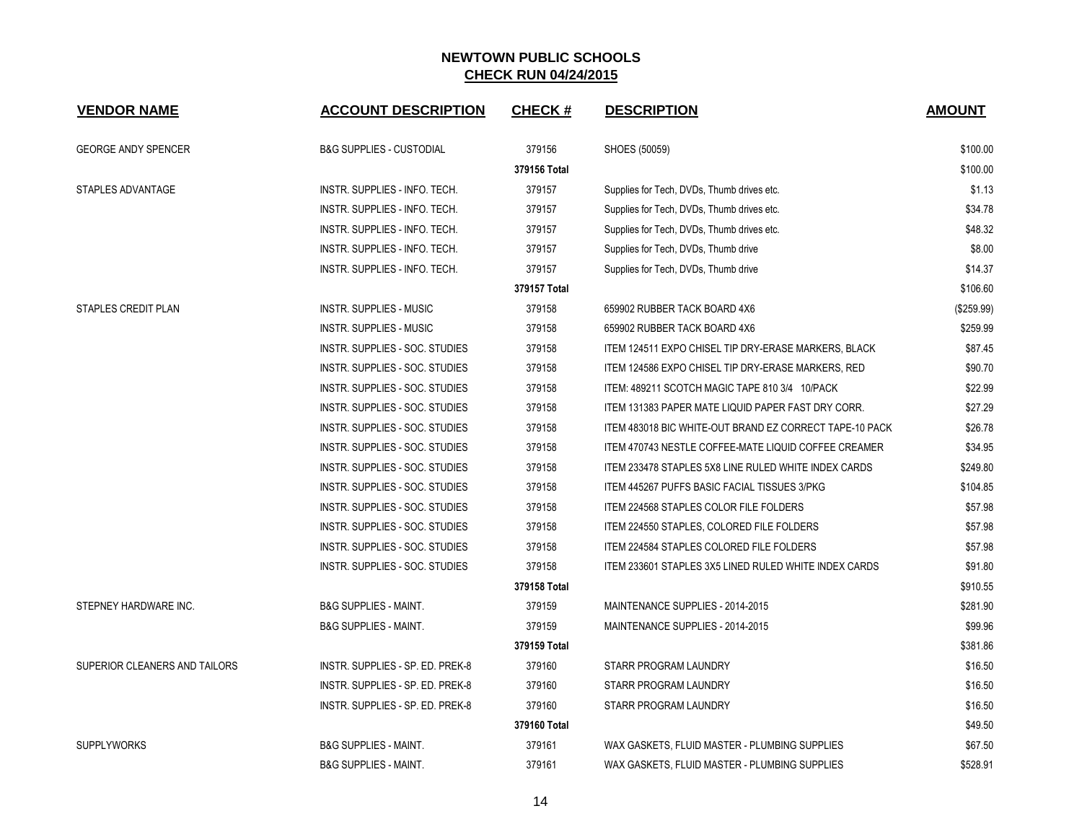| <b>VENDOR NAME</b>            | <b>ACCOUNT DESCRIPTION</b>          | <b>CHECK#</b> | <b>DESCRIPTION</b>                                      | <b>AMOUNT</b> |
|-------------------------------|-------------------------------------|---------------|---------------------------------------------------------|---------------|
| <b>GEORGE ANDY SPENCER</b>    | <b>B&amp;G SUPPLIES - CUSTODIAL</b> | 379156        | SHOES (50059)                                           | \$100.00      |
|                               |                                     | 379156 Total  |                                                         | \$100.00      |
| STAPLES ADVANTAGE             | INSTR. SUPPLIES - INFO. TECH.       | 379157        | Supplies for Tech, DVDs, Thumb drives etc.              | \$1.13        |
|                               | INSTR. SUPPLIES - INFO. TECH.       | 379157        | Supplies for Tech, DVDs, Thumb drives etc.              | \$34.78       |
|                               | INSTR. SUPPLIES - INFO. TECH.       | 379157        | Supplies for Tech, DVDs, Thumb drives etc.              | \$48.32       |
|                               | INSTR. SUPPLIES - INFO. TECH.       | 379157        | Supplies for Tech, DVDs, Thumb drive                    | \$8.00        |
|                               | INSTR. SUPPLIES - INFO. TECH.       | 379157        | Supplies for Tech, DVDs, Thumb drive                    | \$14.37       |
|                               |                                     | 379157 Total  |                                                         | \$106.60      |
| STAPLES CREDIT PLAN           | INSTR. SUPPLIES - MUSIC             | 379158        | 659902 RUBBER TACK BOARD 4X6                            | $(\$259.99)$  |
|                               | <b>INSTR. SUPPLIES - MUSIC</b>      | 379158        | 659902 RUBBER TACK BOARD 4X6                            | \$259.99      |
|                               | INSTR. SUPPLIES - SOC. STUDIES      | 379158        | ITEM 124511 EXPO CHISEL TIP DRY-ERASE MARKERS, BLACK    | \$87.45       |
|                               | INSTR. SUPPLIES - SOC. STUDIES      | 379158        | ITEM 124586 EXPO CHISEL TIP DRY-ERASE MARKERS. RED      | \$90.70       |
|                               | INSTR. SUPPLIES - SOC. STUDIES      | 379158        | ITEM: 489211 SCOTCH MAGIC TAPE 810 3/4 10/PACK          | \$22.99       |
|                               | INSTR. SUPPLIES - SOC. STUDIES      | 379158        | ITEM 131383 PAPER MATE LIQUID PAPER FAST DRY CORR.      | \$27.29       |
|                               | INSTR. SUPPLIES - SOC. STUDIES      | 379158        | ITEM 483018 BIC WHITE-OUT BRAND EZ CORRECT TAPE-10 PACK | \$26.78       |
|                               | INSTR. SUPPLIES - SOC. STUDIES      | 379158        | ITEM 470743 NESTLE COFFEE-MATE LIQUID COFFEE CREAMER    | \$34.95       |
|                               | INSTR. SUPPLIES - SOC. STUDIES      | 379158        | ITEM 233478 STAPLES 5X8 LINE RULED WHITE INDEX CARDS    | \$249.80      |
|                               | INSTR. SUPPLIES - SOC. STUDIES      | 379158        | ITEM 445267 PUFFS BASIC FACIAL TISSUES 3/PKG            | \$104.85      |
|                               | INSTR. SUPPLIES - SOC. STUDIES      | 379158        | ITEM 224568 STAPLES COLOR FILE FOLDERS                  | \$57.98       |
|                               | INSTR. SUPPLIES - SOC. STUDIES      | 379158        | ITEM 224550 STAPLES, COLORED FILE FOLDERS               | \$57.98       |
|                               | INSTR. SUPPLIES - SOC. STUDIES      | 379158        | <b>ITEM 224584 STAPLES COLORED FILE FOLDERS</b>         | \$57.98       |
|                               | INSTR. SUPPLIES - SOC. STUDIES      | 379158        | ITEM 233601 STAPLES 3X5 LINED RULED WHITE INDEX CARDS   | \$91.80       |
|                               |                                     | 379158 Total  |                                                         | \$910.55      |
| STEPNEY HARDWARE INC.         | <b>B&amp;G SUPPLIES - MAINT.</b>    | 379159        | MAINTENANCE SUPPLIES - 2014-2015                        | \$281.90      |
|                               | <b>B&amp;G SUPPLIES - MAINT.</b>    | 379159        | MAINTENANCE SUPPLIES - 2014-2015                        | \$99.96       |
|                               |                                     | 379159 Total  |                                                         | \$381.86      |
| SUPERIOR CLEANERS AND TAILORS | INSTR. SUPPLIES - SP. ED. PREK-8    | 379160        | STARR PROGRAM LAUNDRY                                   | \$16.50       |
|                               | INSTR. SUPPLIES - SP. ED. PREK-8    | 379160        | STARR PROGRAM LAUNDRY                                   | \$16.50       |
|                               | INSTR. SUPPLIES - SP. ED. PREK-8    | 379160        | STARR PROGRAM LAUNDRY                                   | \$16.50       |
|                               |                                     | 379160 Total  |                                                         | \$49.50       |
| <b>SUPPLYWORKS</b>            | <b>B&amp;G SUPPLIES - MAINT.</b>    | 379161        | WAX GASKETS, FLUID MASTER - PLUMBING SUPPLIES           | \$67.50       |
|                               | <b>B&amp;G SUPPLIES - MAINT.</b>    | 379161        | WAX GASKETS, FLUID MASTER - PLUMBING SUPPLIES           | \$528.91      |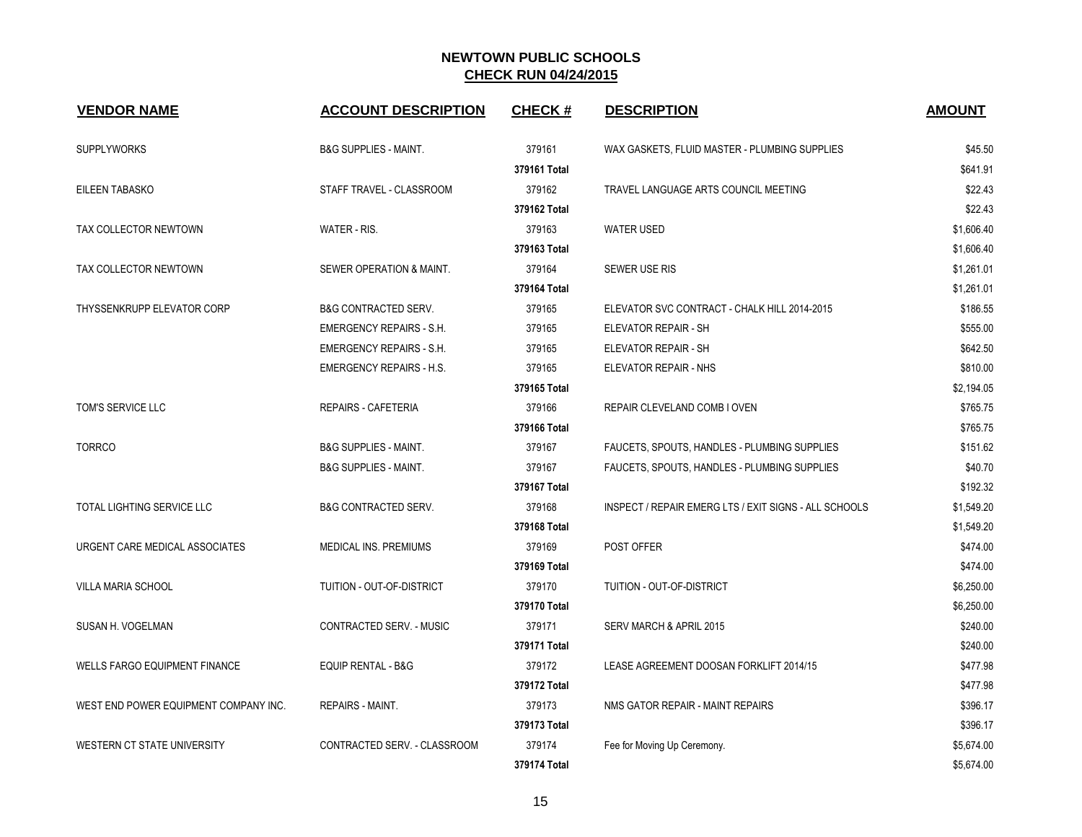| <b>VENDOR NAME</b>                    | <b>ACCOUNT DESCRIPTION</b>       | <b>CHECK#</b> | <b>DESCRIPTION</b>                                    | <b>AMOUNT</b> |
|---------------------------------------|----------------------------------|---------------|-------------------------------------------------------|---------------|
| <b>SUPPLYWORKS</b>                    | <b>B&amp;G SUPPLIES - MAINT.</b> | 379161        | WAX GASKETS, FLUID MASTER - PLUMBING SUPPLIES         | \$45.50       |
|                                       |                                  | 379161 Total  |                                                       | \$641.91      |
| EILEEN TABASKO                        | STAFF TRAVEL - CLASSROOM         | 379162        | TRAVEL LANGUAGE ARTS COUNCIL MEETING                  | \$22.43       |
|                                       |                                  | 379162 Total  |                                                       | \$22.43       |
| TAX COLLECTOR NEWTOWN                 | WATER - RIS.                     | 379163        | <b>WATER USED</b>                                     | \$1,606.40    |
|                                       |                                  | 379163 Total  |                                                       | \$1,606.40    |
| TAX COLLECTOR NEWTOWN                 | SEWER OPERATION & MAINT.         | 379164        | <b>SEWER USE RIS</b>                                  | \$1,261.01    |
|                                       |                                  | 379164 Total  |                                                       | \$1,261.01    |
| THYSSENKRUPP ELEVATOR CORP            | <b>B&amp;G CONTRACTED SERV.</b>  | 379165        | ELEVATOR SVC CONTRACT - CHALK HILL 2014-2015          | \$186.55      |
|                                       | <b>EMERGENCY REPAIRS - S.H.</b>  | 379165        | ELEVATOR REPAIR - SH                                  | \$555.00      |
|                                       | <b>EMERGENCY REPAIRS - S.H.</b>  | 379165        | ELEVATOR REPAIR - SH                                  | \$642.50      |
|                                       | <b>EMERGENCY REPAIRS - H.S.</b>  | 379165        | ELEVATOR REPAIR - NHS                                 | \$810.00      |
|                                       |                                  | 379165 Total  |                                                       | \$2,194.05    |
| TOM'S SERVICE LLC                     | REPAIRS - CAFETERIA              | 379166        | REPAIR CLEVELAND COMB I OVEN                          | \$765.75      |
|                                       |                                  | 379166 Total  |                                                       | \$765.75      |
| <b>TORRCO</b>                         | <b>B&amp;G SUPPLIES - MAINT.</b> | 379167        | FAUCETS, SPOUTS, HANDLES - PLUMBING SUPPLIES          | \$151.62      |
|                                       | <b>B&amp;G SUPPLIES - MAINT.</b> | 379167        | FAUCETS, SPOUTS, HANDLES - PLUMBING SUPPLIES          | \$40.70       |
|                                       |                                  | 379167 Total  |                                                       | \$192.32      |
| <b>TOTAL LIGHTING SERVICE LLC</b>     | <b>B&amp;G CONTRACTED SERV.</b>  | 379168        | INSPECT / REPAIR EMERG LTS / EXIT SIGNS - ALL SCHOOLS | \$1,549.20    |
|                                       |                                  | 379168 Total  |                                                       | \$1,549.20    |
| URGENT CARE MEDICAL ASSOCIATES        | MEDICAL INS. PREMIUMS            | 379169        | POST OFFER                                            | \$474.00      |
|                                       |                                  | 379169 Total  |                                                       | \$474.00      |
| VILLA MARIA SCHOOL                    | TUITION - OUT-OF-DISTRICT        | 379170        | TUITION - OUT-OF-DISTRICT                             | \$6,250.00    |
|                                       |                                  | 379170 Total  |                                                       | \$6,250.00    |
| SUSAN H. VOGELMAN                     | CONTRACTED SERV. - MUSIC         | 379171        | SERV MARCH & APRIL 2015                               | \$240.00      |
|                                       |                                  | 379171 Total  |                                                       | \$240.00      |
| <b>WELLS FARGO EQUIPMENT FINANCE</b>  | EQUIP RENTAL - B&G               | 379172        | LEASE AGREEMENT DOOSAN FORKLIFT 2014/15               | \$477.98      |
|                                       |                                  | 379172 Total  |                                                       | \$477.98      |
| WEST END POWER EQUIPMENT COMPANY INC. | REPAIRS - MAINT.                 | 379173        | NMS GATOR REPAIR - MAINT REPAIRS                      | \$396.17      |
|                                       |                                  | 379173 Total  |                                                       | \$396.17      |
| WESTERN CT STATE UNIVERSITY           | CONTRACTED SERV. - CLASSROOM     | 379174        | Fee for Moving Up Ceremony.                           | \$5,674.00    |
|                                       |                                  | 379174 Total  |                                                       | \$5,674.00    |